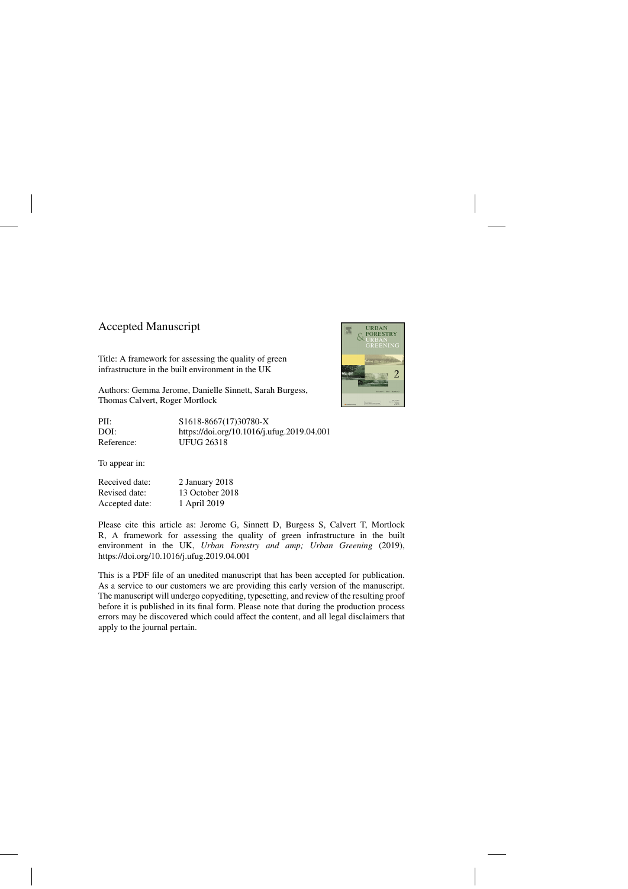## Accepted Manuscript

Title: A framework for assessing the quality of green infrastructure in the built environment in the UK

Authors: Gemma Jerome, Danielle Sinnett, Sarah Burgess, Thomas Calvert, Roger Mortlock

PII: S1618-8667(17)30780-X DOI:<https://doi.org/10.1016/j.ufug.2019.04.001> Reference: UFUG 26318

To appear in:

Received date: 2 January 2018 Revised date: 13 October 2018 Accepted date: 1 April 2019

Please cite this article as: Jerome G, Sinnett D, Burgess S, Calvert T, Mortlock R, A framework for assessing the quality of green infrastructure in the built environment in the UK, *Urban Forestry and amp; Urban Greening* (2019), <https://doi.org/10.1016/j.ufug.2019.04.001>

This is a PDF file of an unedited manuscript that has been accepted for publication. As a service to our customers we are providing this early version of the manuscript. The manuscript will undergo copyediting, typesetting, and review of the resulting proof before it is published in its final form. Please note that during the production process errors may be discovered which could affect the content, and all legal disclaimers that apply to the journal pertain.

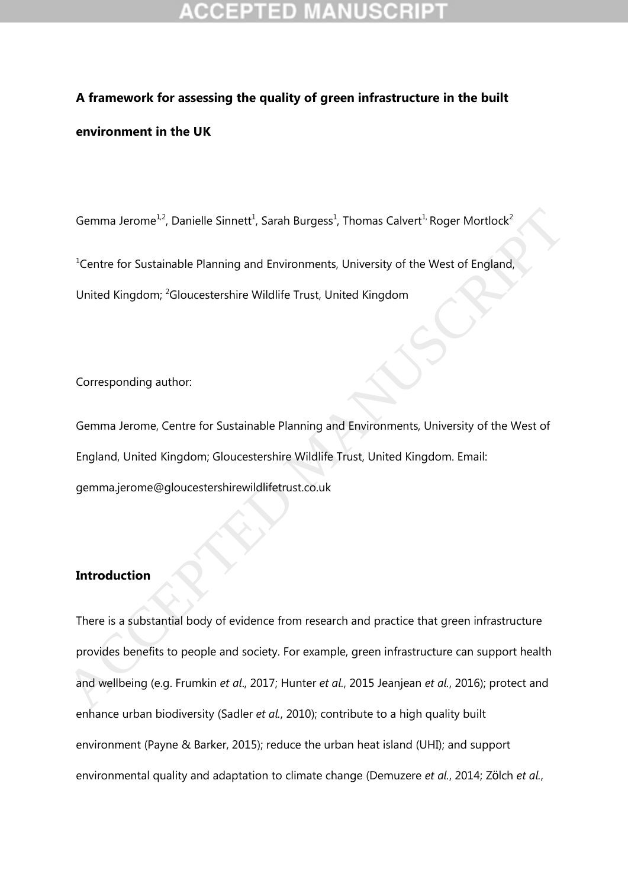# **A framework for assessing the quality of green infrastructure in the built environment in the UK**

Gemma Jerome<sup>1,2</sup>, Danielle Sinnett<sup>1</sup>, Sarah Burgess<sup>1</sup>, Thomas Calvert<sup>1,</sup> Roger Mortlock<sup>2</sup>

<sup>1</sup>Centre for Sustainable Planning and Environments, University of the West of England,

United Kingdom; <sup>2</sup>Gloucestershire Wildlife Trust, United Kingdom

Corresponding author:

Gemma Jerome, Centre for Sustainable Planning and Environments, University of the West of England, United Kingdom; Gloucestershire Wildlife Trust, United Kingdom. Email: gemma.jerome@gloucestershirewildlifetrust.co.uk

## **Introduction**

There is a substantial body of evidence from research and practice that green infrastructure provides benefits to people and society. For example, green infrastructure can support health and wellbeing (e.g. Frumkin *et al*., 2017; Hunter *et al.*, 2015 Jeanjean *et al.*, 2016); protect and enhance urban biodiversity (Sadler *et al.*, 2010); contribute to a high quality built environment (Payne & Barker, 2015); reduce the urban heat island (UHI); and support environmental quality and adaptation to climate change (Demuzere *et al.*, 2014; Zölch *et al.*, Gemma Jerome<sup>12</sup>, Danielle Sinnett<sup>1</sup>, Sarah Burgess<sup>1</sup>, Thomas Calvert<sup>1</sup> Roger Mortlock<sup>2</sup><br>
<sup>1</sup>Centre for Sustainable Planning and Environments, University of the West of England,<br>
United Kingdom; <sup>2</sup>Gloucestershire Wild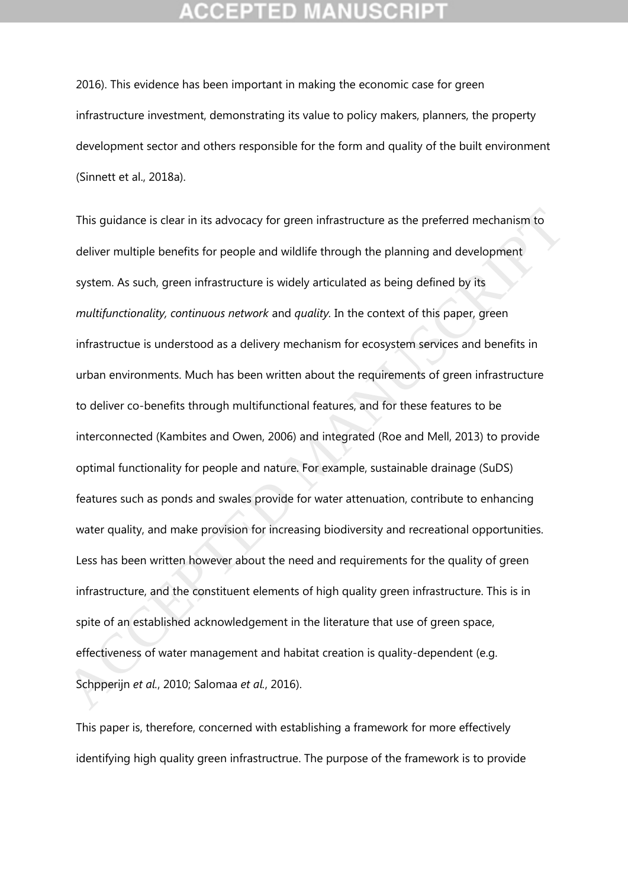2016). This evidence has been important in making the economic case for green infrastructure investment, demonstrating its value to policy makers, planners, the property development sector and others responsible for the form and quality of the built environment (Sinnett et al., 2018a).

This guidance is clear in its advocacy for green infrastructure as the preferred mechanism to deliver multiple benefits for people and wildlife through the planning and development system. As such, green infrastructure is widely articulated as being defined by its *multifunctionality, continuous network* and *quality.* In the context of this paper, green infrastructue is understood as a delivery mechanism for ecosystem services and benefits in urban environments. Much has been written about the requirements of green infrastructure to deliver co-benefits through multifunctional features, and for these features to be interconnected (Kambites and Owen, 2006) and integrated (Roe and Mell, 2013) to provide optimal functionality for people and nature. For example, sustainable drainage (SuDS) features such as ponds and swales provide for water attenuation, contribute to enhancing water quality, and make provision for increasing biodiversity and recreational opportunities. Less has been written however about the need and requirements for the quality of green infrastructure, and the constituent elements of high quality green infrastructure. This is in spite of an established acknowledgement in the literature that use of green space, effectiveness of water management and habitat creation is quality-dependent (e.g. Schpperijn *et al.*, 2010; Salomaa *et al.*, 2016). This guidance is clear in its advocacy for green infrastructure as the preferred mechanism to deliver multiple benefits for people and wildlife through the planning and development system. As such, green infrastructure is

This paper is, therefore, concerned with establishing a framework for more effectively identifying high quality green infrastructrue. The purpose of the framework is to provide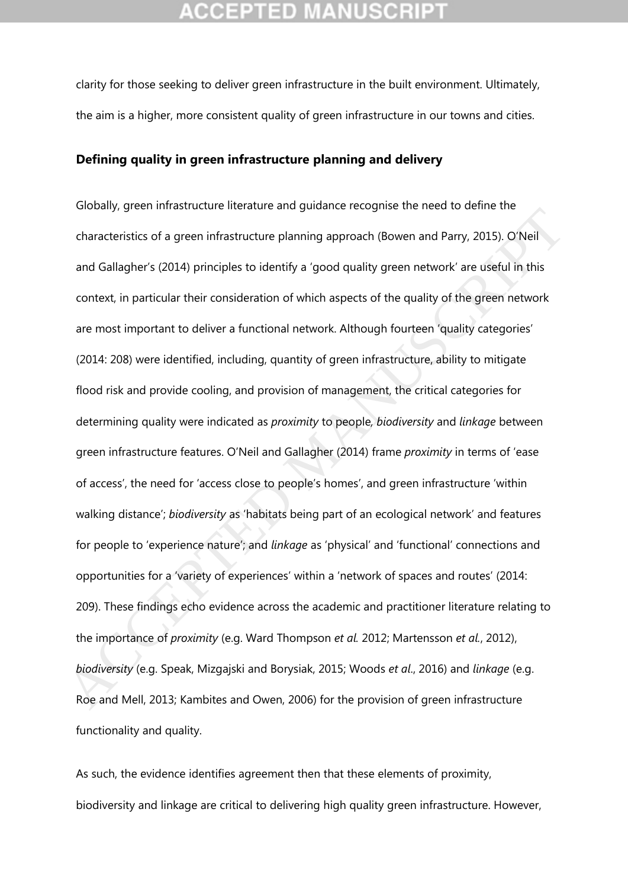clarity for those seeking to deliver green infrastructure in the built environment. Ultimately, the aim is a higher, more consistent quality of green infrastructure in our towns and cities.

### **Defining quality in green infrastructure planning and delivery**

Globally, green infrastructure literature and guidance recognise the need to define the characteristics of a green infrastructure planning approach (Bowen and Parry, 2015). O'Neil and Gallagher's (2014) principles to identify a 'good quality green network' are useful in this context, in particular their consideration of which aspects of the quality of the green network are most important to deliver a functional network. Although fourteen 'quality categories' (2014: 208) were identified, including, quantity of green infrastructure, ability to mitigate flood risk and provide cooling, and provision of management, the critical categories for determining quality were indicated as *proximity* to people*, biodiversity* and *linkage* between green infrastructure features. O'Neil and Gallagher (2014) frame *proximity* in terms of 'ease of access', the need for 'access close to people's homes', and green infrastructure 'within walking distance'; *biodiversity* as 'habitats being part of an ecological network' and features for people to 'experience nature'; and *linkage* as 'physical' and 'functional' connections and opportunities for a 'variety of experiences' within a 'network of spaces and routes' (2014: 209). These findings echo evidence across the academic and practitioner literature relating to the importance of *proximity* (e.g. Ward Thompson *et al.* 2012; Martensson *et al.*, 2012), *biodiversity* (e.g. Speak, Mizgajski and Borysiak, 2015; Woods *et al*., 2016) and *linkage* (e.g. Roe and Mell, 2013; Kambites and Owen, 2006) for the provision of green infrastructure functionality and quality. Characteristics of a green infrastructure planning approach (Bowen and Parry, 2015). ONeil<br>and Gallagher's (2014) principles to identify a 'good quality green network' are useful in this<br>context, in particular their consid

As such, the evidence identifies agreement then that these elements of proximity, biodiversity and linkage are critical to delivering high quality green infrastructure. However,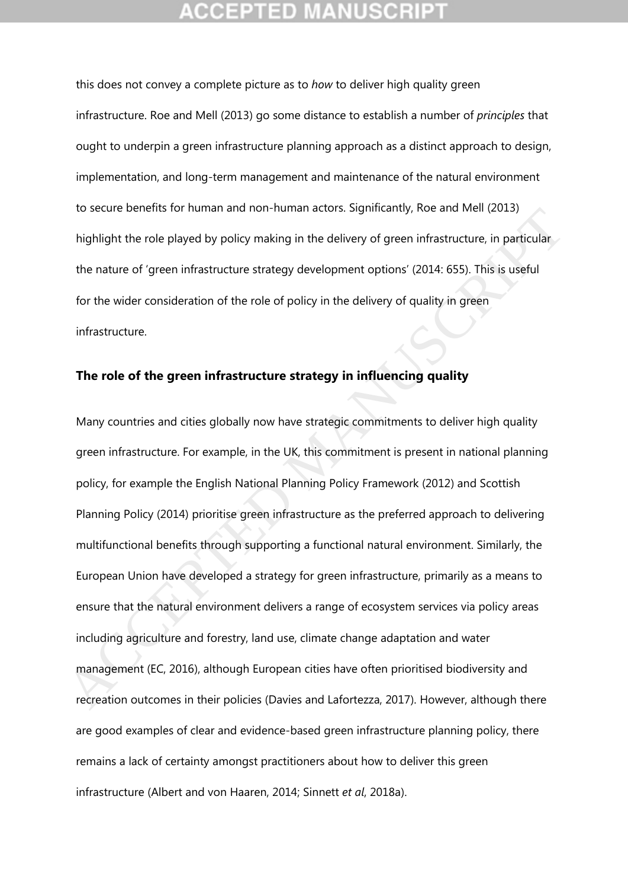this does not convey a complete picture as to *how* to deliver high quality green infrastructure. Roe and Mell (2013) go some distance to establish a number of *principles* that ought to underpin a green infrastructure planning approach as a distinct approach to design, implementation, and long-term management and maintenance of the natural environment to secure benefits for human and non-human actors. Significantly, Roe and Mell (2013) highlight the role played by policy making in the delivery of green infrastructure, in particular the nature of 'green infrastructure strategy development options' (2014: 655). This is useful for the wider consideration of the role of policy in the delivery of quality in green infrastructure.

## **The role of the green infrastructure strategy in influencing quality**

Many countries and cities globally now have strategic commitments to deliver high quality green infrastructure. For example, in the UK, this commitment is present in national planning policy, for example the English National Planning Policy Framework (2012) and Scottish Planning Policy (2014) prioritise green infrastructure as the preferred approach to delivering multifunctional benefits through supporting a functional natural environment. Similarly, the European Union have developed a strategy for green infrastructure, primarily as a means to ensure that the natural environment delivers a range of ecosystem services via policy areas including agriculture and forestry, land use, climate change adaptation and water management (EC, 2016), although European cities have often prioritised biodiversity and recreation outcomes in their policies (Davies and Lafortezza, 2017). However, although there are good examples of clear and evidence-based green infrastructure planning policy, there remains a lack of certainty amongst practitioners about how to deliver this green infrastructure (Albert and von Haaren, 2014; Sinnett *et al*, 2018a). to secure benefits of human and non-numan actors. Significatity, foe and wien (2013)<br>highlight the role played by policy making in the delivery of green infrastructure, in particular<br>the nature of 'green infrastructure str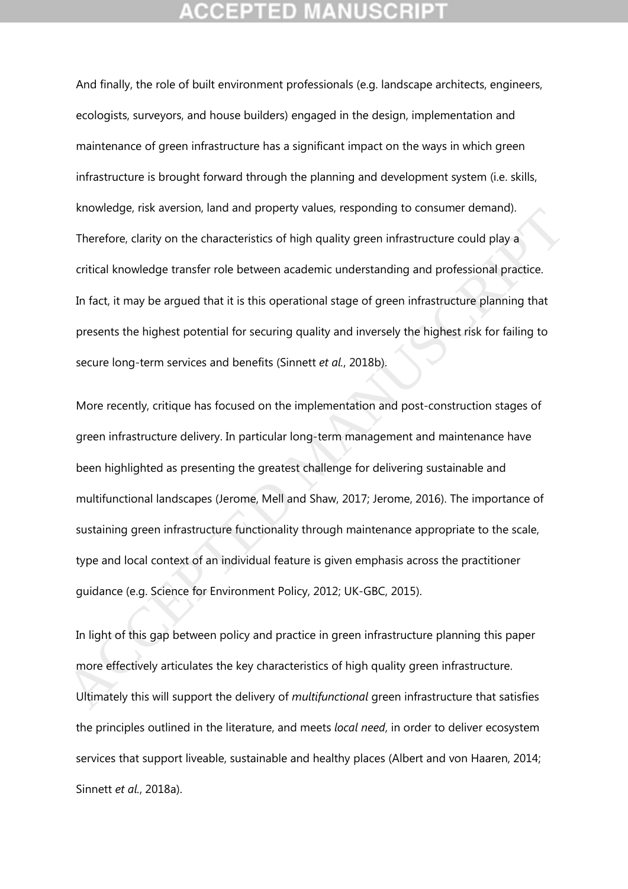And finally, the role of built environment professionals (e.g. landscape architects, engineers, ecologists, surveyors, and house builders) engaged in the design, implementation and maintenance of green infrastructure has a significant impact on the ways in which green infrastructure is brought forward through the planning and development system (i.e. skills, knowledge, risk aversion, land and property values, responding to consumer demand). Therefore, clarity on the characteristics of high quality green infrastructure could play a critical knowledge transfer role between academic understanding and professional practice. In fact, it may be argued that it is this operational stage of green infrastructure planning that presents the highest potential for securing quality and inversely the highest risk for failing to secure long-term services and benefits (Sinnett *et al.*, 2018b).

More recently, critique has focused on the implementation and post-construction stages of green infrastructure delivery. In particular long-term management and maintenance have been highlighted as presenting the greatest challenge for delivering sustainable and multifunctional landscapes (Jerome, Mell and Shaw, 2017; Jerome, 2016). The importance of sustaining green infrastructure functionality through maintenance appropriate to the scale, type and local context of an individual feature is given emphasis across the practitioner guidance (e.g. Science for Environment Policy, 2012; UK-GBC, 2015). knowedge, risk aversion, ianu and property values, responding to consumer demantay.<br>Therefore, clarity on the characteristics of high quality green infrastructure could play a<br>critical knowledge transfer role between acad

In light of this gap between policy and practice in green infrastructure planning this paper more effectively articulates the key characteristics of high quality green infrastructure. Ultimately this will support the delivery of *multifunctional* green infrastructure that satisfies the principles outlined in the literature, and meets *local need*, in order to deliver ecosystem services that support liveable, sustainable and healthy places (Albert and von Haaren, 2014; Sinnett *et al.*, 2018a).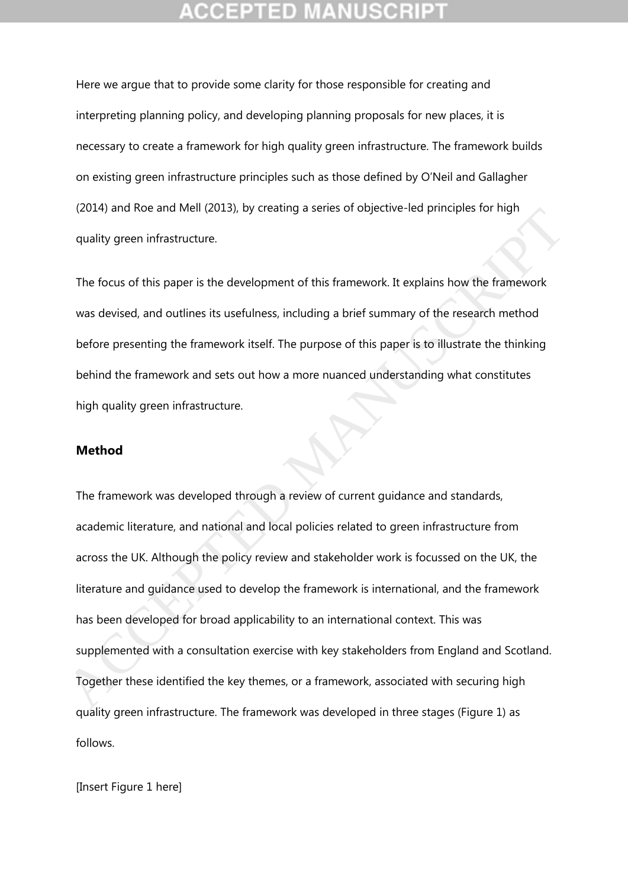Here we argue that to provide some clarity for those responsible for creating and interpreting planning policy, and developing planning proposals for new places, it is necessary to create a framework for high quality green infrastructure. The framework builds on existing green infrastructure principles such as those defined by O'Neil and Gallagher (2014) and Roe and Mell (2013), by creating a series of objective-led principles for high quality green infrastructure.

The focus of this paper is the development of this framework. It explains how the framework was devised, and outlines its usefulness, including a brief summary of the research method before presenting the framework itself. The purpose of this paper is to illustrate the thinking behind the framework and sets out how a more nuanced understanding what constitutes high quality green infrastructure.

### **Method**

The framework was developed through a review of current guidance and standards, academic literature, and national and local policies related to green infrastructure from across the UK. Although the policy review and stakeholder work is focussed on the UK, the literature and guidance used to develop the framework is international, and the framework has been developed for broad applicability to an international context. This was supplemented with a consultation exercise with key stakeholders from England and Scotland. Together these identified the key themes, or a framework, associated with securing high quality green infrastructure. The framework was developed in three stages (Figure 1) as follows. (2014) and Noe and Mell (2015), by teading a series of objective-eta pintiples for high<br>quality green infrastructure.<br>The focus of this paper is the development of this framework. It explains how the framework<br>was devised,

[Insert Figure 1 here]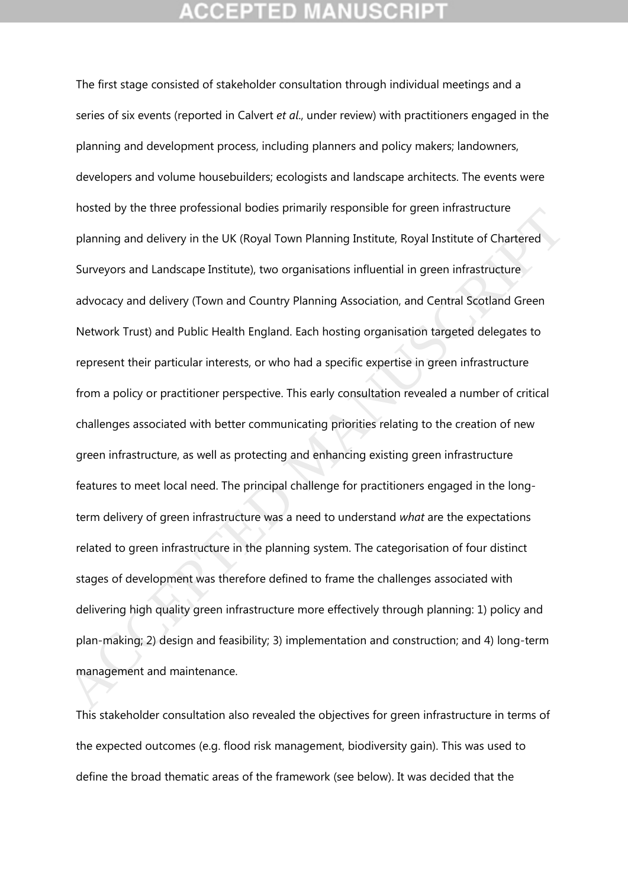The first stage consisted of stakeholder consultation through individual meetings and a series of six events (reported in Calvert *et al*., under review) with practitioners engaged in the planning and development process, including planners and policy makers; landowners, developers and volume housebuilders; ecologists and landscape architects. The events were hosted by the three professional bodies primarily responsible for green infrastructure planning and delivery in the UK (Royal Town Planning Institute, Royal Institute of Chartered Surveyors and Landscape Institute), two organisations influential in green infrastructure advocacy and delivery (Town and Country Planning Association, and Central Scotland Green Network Trust) and Public Health England. Each hosting organisation targeted delegates to represent their particular interests, or who had a specific expertise in green infrastructure from a policy or practitioner perspective. This early consultation revealed a number of critical challenges associated with better communicating priorities relating to the creation of new green infrastructure, as well as protecting and enhancing existing green infrastructure features to meet local need. The principal challenge for practitioners engaged in the longterm delivery of green infrastructure was a need to understand *what* are the expectations related to green infrastructure in the planning system. The categorisation of four distinct stages of development was therefore defined to frame the challenges associated with delivering high quality green infrastructure more effectively through planning: 1) policy and plan-making; 2) design and feasibility; 3) implementation and construction; and 4) long-term management and maintenance. nosed by the three plotessional bodies printianly responsible for green infrastructure<br>planning and delivery in the UK (Royal Town Planning Institute, Royal Institute of Chartered<br>Surveyors and Landscape Institute), two or

This stakeholder consultation also revealed the objectives for green infrastructure in terms of the expected outcomes (e.g. flood risk management, biodiversity gain). This was used to define the broad thematic areas of the framework (see below). It was decided that the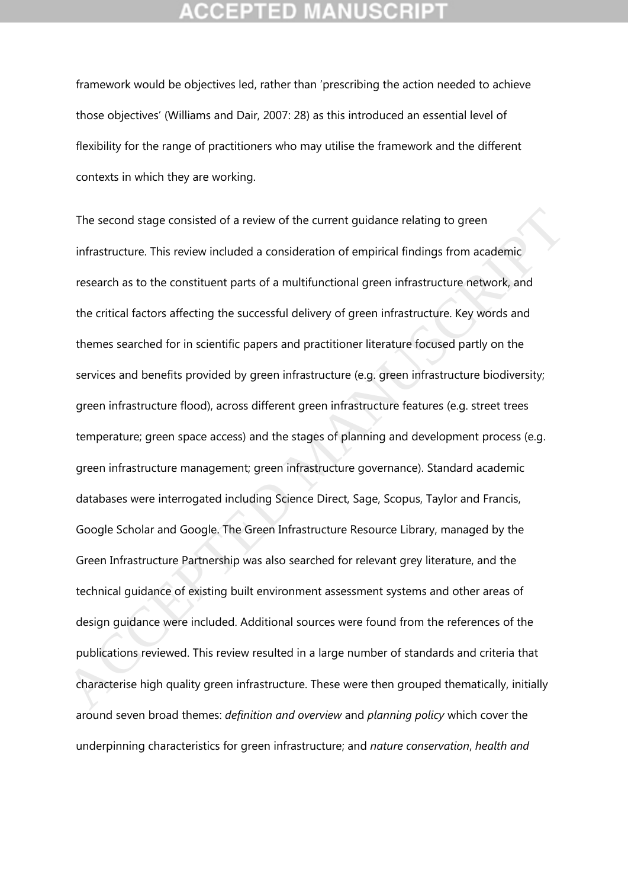framework would be objectives led, rather than 'prescribing the action needed to achieve those objectives' (Williams and Dair, 2007: 28) as this introduced an essential level of flexibility for the range of practitioners who may utilise the framework and the different contexts in which they are working.

The second stage consisted of a review of the current guidance relating to green infrastructure. This review included a consideration of empirical findings from academic research as to the constituent parts of a multifunctional green infrastructure network, and the critical factors affecting the successful delivery of green infrastructure. Key words and themes searched for in scientific papers and practitioner literature focused partly on the services and benefits provided by green infrastructure (e.g. green infrastructure biodiversity; green infrastructure flood), across different green infrastructure features (e.g. street trees temperature; green space access) and the stages of planning and development process (e.g. green infrastructure management; green infrastructure governance). Standard academic databases were interrogated including Science Direct, Sage, Scopus, Taylor and Francis, Google Scholar and Google. The Green Infrastructure Resource Library, managed by the Green Infrastructure Partnership was also searched for relevant grey literature, and the technical guidance of existing built environment assessment systems and other areas of design guidance were included. Additional sources were found from the references of the publications reviewed. This review resulted in a large number of standards and criteria that characterise high quality green infrastructure. These were then grouped thematically, initially around seven broad themes: *definition and overview* and *planning policy* which cover the underpinning characteristics for green infrastructure; and *nature conservation*, *health and*  The second stage consisted of a review of the current guidance relating to green<br>infrastructure. This review included a consideration of empirical findings from academic<br>research as to the constituent parts of a multifunct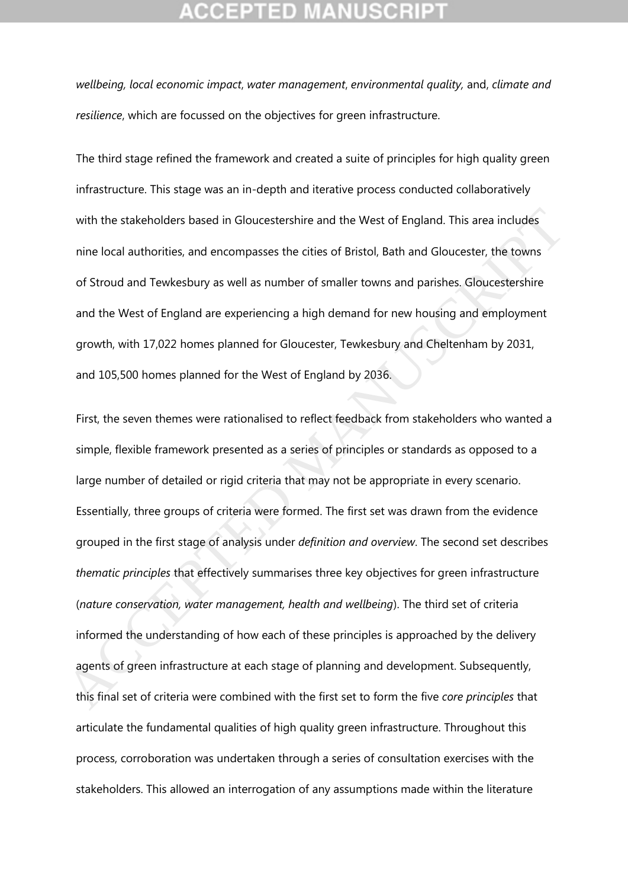*wellbeing, local economic impact*, *water management*, *environmental quality,* and, *climate and resilience*, which are focussed on the objectives for green infrastructure.

The third stage refined the framework and created a suite of principles for high quality green infrastructure. This stage was an in-depth and iterative process conducted collaboratively with the stakeholders based in Gloucestershire and the West of England. This area includes nine local authorities, and encompasses the cities of Bristol, Bath and Gloucester, the towns of Stroud and Tewkesbury as well as number of smaller towns and parishes. Gloucestershire and the West of England are experiencing a high demand for new housing and employment growth, with 17,022 homes planned for Gloucester, Tewkesbury and Cheltenham by 2031, and 105,500 homes planned for the West of England by 2036.

First, the seven themes were rationalised to reflect feedback from stakeholders who wanted a simple, flexible framework presented as a series of principles or standards as opposed to a large number of detailed or rigid criteria that may not be appropriate in every scenario. Essentially, three groups of criteria were formed. The first set was drawn from the evidence grouped in the first stage of analysis under *definition and overview*. The second set describes *thematic principles* that effectively summarises three key objectives for green infrastructure (*nature conservation, water management, health and wellbeing*). The third set of criteria informed the understanding of how each of these principles is approached by the delivery agents of green infrastructure at each stage of planning and development. Subsequently, this final set of criteria were combined with the first set to form the five *core principles* that articulate the fundamental qualities of high quality green infrastructure. Throughout this process, corroboration was undertaken through a series of consultation exercises with the stakeholders. This allowed an interrogation of any assumptions made within the literature with the stakeholders based in Gloucestershire and the West of England. This area includes<br>nine local authorities, and encompasses the cities of Bristol, Bath and Gloucester, the towns<br>of Stroud and Tewkesbury as well as n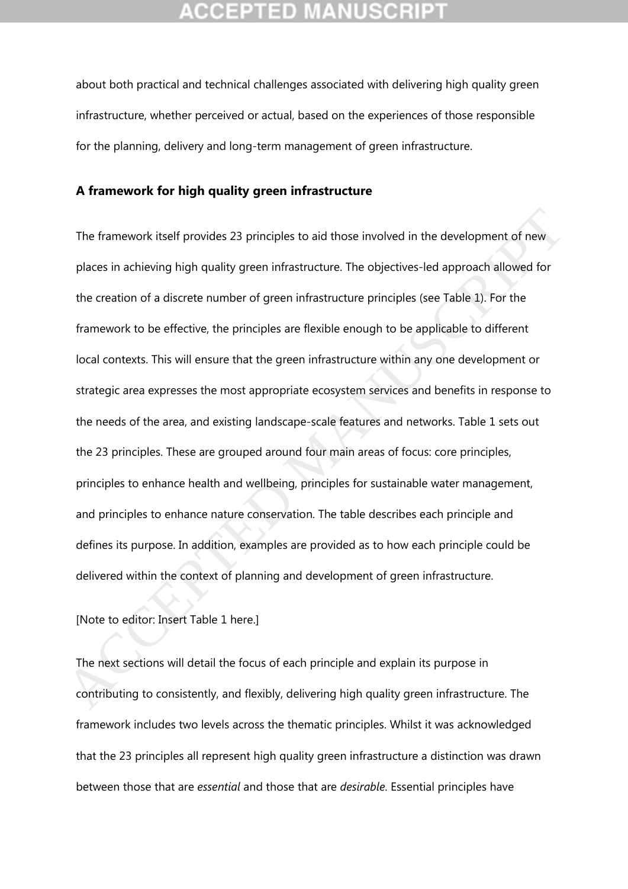about both practical and technical challenges associated with delivering high quality green infrastructure, whether perceived or actual, based on the experiences of those responsible for the planning, delivery and long-term management of green infrastructure.

### **A framework for high quality green infrastructure**

The framework itself provides 23 principles to aid those involved in the development of new places in achieving high quality green infrastructure. The objectives-led approach allowed for the creation of a discrete number of green infrastructure principles (see Table 1). For the framework to be effective, the principles are flexible enough to be applicable to different local contexts. This will ensure that the green infrastructure within any one development or strategic area expresses the most appropriate ecosystem services and benefits in response to the needs of the area, and existing landscape-scale features and networks. Table 1 sets out the 23 principles. These are grouped around four main areas of focus: core principles, principles to enhance health and wellbeing, principles for sustainable water management, and principles to enhance nature conservation. The table describes each principle and defines its purpose. In addition, examples are provided as to how each principle could be delivered within the context of planning and development of green infrastructure. The framework itself provides 23 principles to aid those involved in the development of new<br>places in achieving high quality green infrastructure. The objectives-led approach allowed for<br>the creation of a discrete number o

[Note to editor: Insert Table 1 here.]

The next sections will detail the focus of each principle and explain its purpose in contributing to consistently, and flexibly, delivering high quality green infrastructure. The framework includes two levels across the thematic principles. Whilst it was acknowledged that the 23 principles all represent high quality green infrastructure a distinction was drawn between those that are *essential* and those that are *desirable*. Essential principles have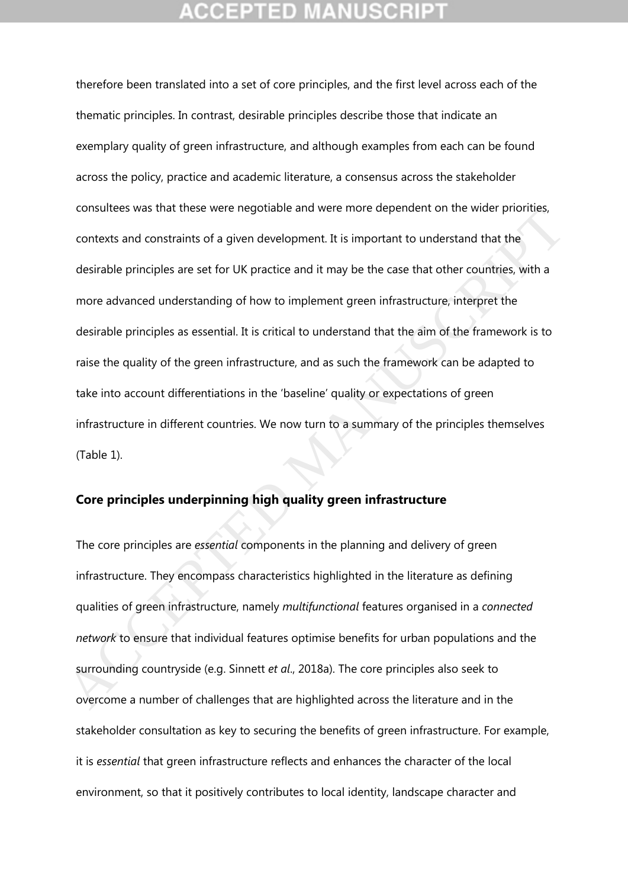therefore been translated into a set of core principles, and the first level across each of the thematic principles. In contrast, desirable principles describe those that indicate an exemplary quality of green infrastructure, and although examples from each can be found across the policy, practice and academic literature, a consensus across the stakeholder consultees was that these were negotiable and were more dependent on the wider priorities, contexts and constraints of a given development. It is important to understand that the desirable principles are set for UK practice and it may be the case that other countries, with a more advanced understanding of how to implement green infrastructure, interpret the desirable principles as essential. It is critical to understand that the aim of the framework is to raise the quality of the green infrastructure, and as such the framework can be adapted to take into account differentiations in the 'baseline' quality or expectations of green infrastructure in different countries. We now turn to a summary of the principles themselves (Table 1). Consulters was trad these were negotiable and were more dependent on the where profites,<br>contexts and constraints of a given development. It is important to understand that the<br>desirable principles are set for UK practice

## **Core principles underpinning high quality green infrastructure**

The core principles are *essential* components in the planning and delivery of green infrastructure. They encompass characteristics highlighted in the literature as defining qualities of green infrastructure, namely *multifunctional* features organised in a *connected network* to ensure that individual features optimise benefits for urban populations and the surrounding countryside (e.g. Sinnett *et al*., 2018a). The core principles also seek to overcome a number of challenges that are highlighted across the literature and in the stakeholder consultation as key to securing the benefits of green infrastructure. For example, it is *essential* that green infrastructure reflects and enhances the character of the local environment, so that it positively contributes to local identity, landscape character and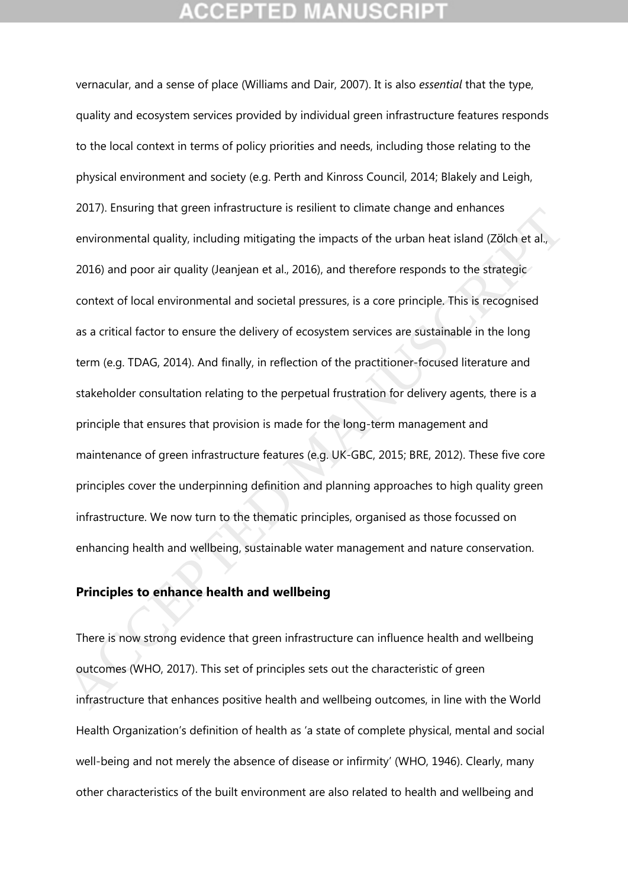vernacular, and a sense of place (Williams and Dair, 2007). It is also *essential* that the type, quality and ecosystem services provided by individual green infrastructure features responds to the local context in terms of policy priorities and needs, including those relating to the physical environment and society (e.g. Perth and Kinross Council, 2014; Blakely and Leigh, 2017). Ensuring that green infrastructure is resilient to climate change and enhances environmental quality, including mitigating the impacts of the urban heat island (Zölch et al., 2016) and poor air quality (Jeanjean et al., 2016), and therefore responds to the strategic context of local environmental and societal pressures, is a core principle. This is recognised as a critical factor to ensure the delivery of ecosystem services are sustainable in the long term (e.g. TDAG, 2014). And finally, in reflection of the practitioner-focused literature and stakeholder consultation relating to the perpetual frustration for delivery agents, there is a principle that ensures that provision is made for the long-term management and maintenance of green infrastructure features (e.g. UK-GBC, 2015; BRE, 2012). These five core principles cover the underpinning definition and planning approaches to high quality green infrastructure. We now turn to the thematic principles, organised as those focussed on enhancing health and wellbeing, sustainable water management and nature conservation. 2017). Ensuring triat green imitastucture is resinent to diffrae transperint entrinces<br>environmental quality, including mitigating the impacts of the urban heat island (Z8lch et al.,<br>2016) and poor air quality (Jeanjean et

### **Principles to enhance health and wellbeing**

There is now strong evidence that green infrastructure can influence health and wellbeing outcomes (WHO, 2017). This set of principles sets out the characteristic of green infrastructure that enhances positive health and wellbeing outcomes, in line with the World Health Organization's definition of health as 'a state of complete physical, mental and social well-being and not merely the absence of disease or infirmity' (WHO, 1946). Clearly, many other characteristics of the built environment are also related to health and wellbeing and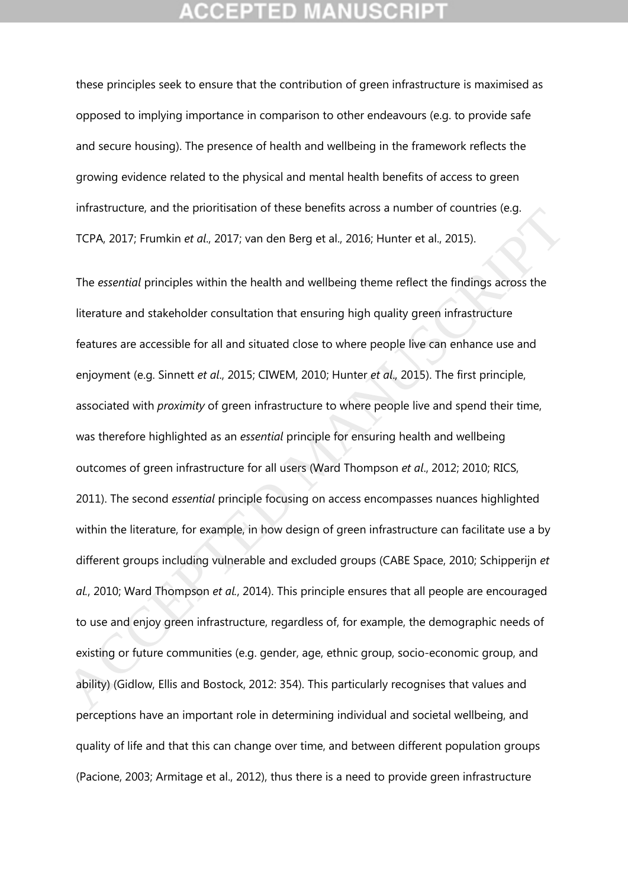these principles seek to ensure that the contribution of green infrastructure is maximised as opposed to implying importance in comparison to other endeavours (e.g. to provide safe and secure housing). The presence of health and wellbeing in the framework reflects the growing evidence related to the physical and mental health benefits of access to green infrastructure, and the prioritisation of these benefits across a number of countries (e.g. TCPA, 2017; Frumkin *et al*., 2017; van den Berg et al., 2016; Hunter et al., 2015).

The *essential* principles within the health and wellbeing theme reflect the findings across the literature and stakeholder consultation that ensuring high quality green infrastructure features are accessible for all and situated close to where people live can enhance use and enjoyment (e.g. Sinnett *et al*., 2015; CIWEM, 2010; Hunter *et al*., 2015). The first principle, associated with *proximity* of green infrastructure to where people live and spend their time, was therefore highlighted as an *essential* principle for ensuring health and wellbeing outcomes of green infrastructure for all users (Ward Thompson *et al*., 2012; 2010; RICS, 2011). The second *essential* principle focusing on access encompasses nuances highlighted within the literature, for example, in how design of green infrastructure can facilitate use a by different groups including vulnerable and excluded groups (CABE Space, 2010; Schipperijn *et al.*, 2010; Ward Thompson *et al.*, 2014). This principle ensures that all people are encouraged to use and enjoy green infrastructure, regardless of, for example, the demographic needs of existing or future communities (e.g. gender, age, ethnic group, socio-economic group, and ability) (Gidlow, Ellis and Bostock, 2012: 354). This particularly recognises that values and perceptions have an important role in determining individual and societal wellbeing, and quality of life and that this can change over time, and between different population groups (Pacione, 2003; Armitage et al., 2012), thus there is a need to provide green infrastructure Innastructure, and the priorinsation of these benefits actoss a number of countries (e.g.<br>TCPA, 2017; Frumkin et al., 2017; van den Berg et al., 2016; Hunter et al., 2015).<br>The essential principles within the health and w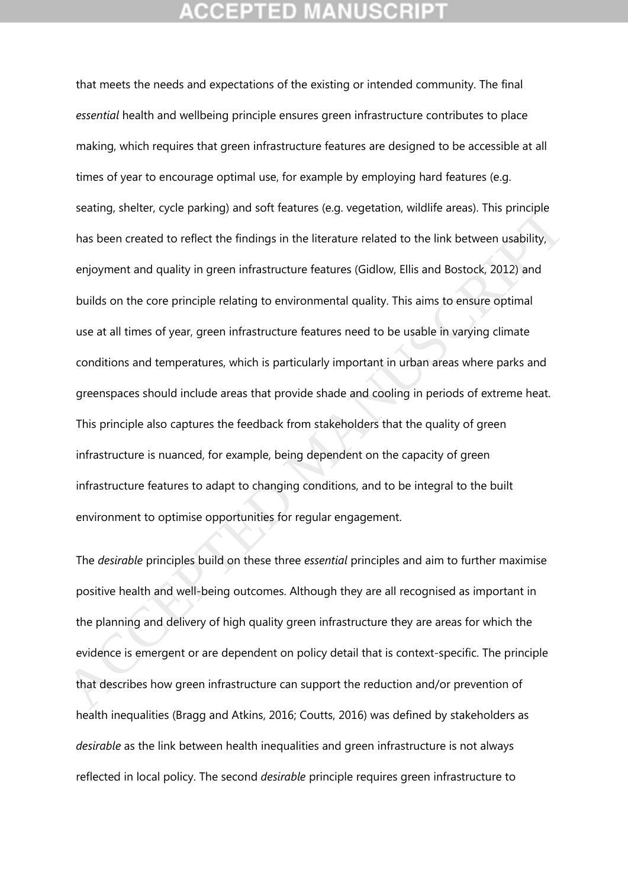that meets the needs and expectations of the existing or intended community. The final *essential* health and wellbeing principle ensures green infrastructure contributes to place making, which requires that green infrastructure features are designed to be accessible at all times of year to encourage optimal use, for example by employing hard features (e.g. seating, shelter, cycle parking) and soft features (e.g. vegetation, wildlife areas). This principle has been created to reflect the findings in the literature related to the link between usability, enjoyment and quality in green infrastructure features (Gidlow, Ellis and Bostock, 2012) and builds on the core principle relating to environmental quality. This aims to ensure optimal use at all times of year, green infrastructure features need to be usable in varying climate conditions and temperatures, which is particularly important in urban areas where parks and greenspaces should include areas that provide shade and cooling in periods of extreme heat. This principle also captures the feedback from stakeholders that the quality of green infrastructure is nuanced, for example, being dependent on the capacity of green infrastructure features to adapt to changing conditions, and to be integral to the built environment to optimise opportunities for regular engagement. beauting, sitencet, cycle parkingy and solic leadines (e.g. vegetation), which e aleas). This principle<br>has been created to reflect the findings in the literature related to the link between usability,<br>enjoyment and qualit

The *desirable* principles build on these three *essential* principles and aim to further maximise positive health and well-being outcomes. Although they are all recognised as important in the planning and delivery of high quality green infrastructure they are areas for which the evidence is emergent or are dependent on policy detail that is context-specific. The principle that describes how green infrastructure can support the reduction and/or prevention of health inequalities (Bragg and Atkins, 2016; Coutts, 2016) was defined by stakeholders as *desirable* as the link between health inequalities and green infrastructure is not always reflected in local policy. The second *desirable* principle requires green infrastructure to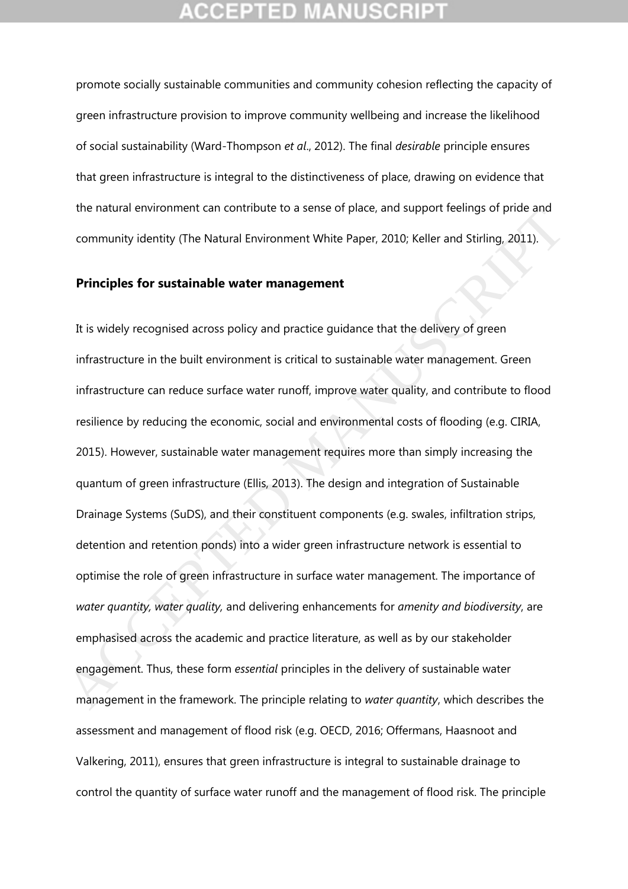promote socially sustainable communities and community cohesion reflecting the capacity of green infrastructure provision to improve community wellbeing and increase the likelihood of social sustainability (Ward-Thompson *et al*., 2012). The final *desirable* principle ensures that green infrastructure is integral to the distinctiveness of place, drawing on evidence that the natural environment can contribute to a sense of place, and support feelings of pride and community identity (The Natural Environment White Paper, 2010; Keller and Stirling, 2011).

### **Principles for sustainable water management**

It is widely recognised across policy and practice guidance that the delivery of green infrastructure in the built environment is critical to sustainable water management. Green infrastructure can reduce surface water runoff, improve water quality, and contribute to flood resilience by reducing the economic, social and environmental costs of flooding (e.g. CIRIA, 2015). However, sustainable water management requires more than simply increasing the quantum of green infrastructure (Ellis, 2013). The design and integration of Sustainable Drainage Systems (SuDS), and their constituent components (e.g. swales, infiltration strips, detention and retention ponds) into a wider green infrastructure network is essential to optimise the role of green infrastructure in surface water management. The importance of *water quantity, water quality,* and delivering enhancements for *amenity and biodiversity*, are emphasised across the academic and practice literature, as well as by our stakeholder engagement. Thus, these form *essential* principles in the delivery of sustainable water management in the framework. The principle relating to *water quantity*, which describes the assessment and management of flood risk (e.g. OECD, 2016; Offermans, Haasnoot and Valkering, 2011), ensures that green infrastructure is integral to sustainable drainage to control the quantity of surface water runoff and the management of flood risk. The principle the fractual entwidelinent can contunuble to a sense of piace, and support reemings of pinds and<br>community identity (The Natural Environment White Paper, 2010; Keller and Stirling, 2011).<br>**Principles for sustainable water**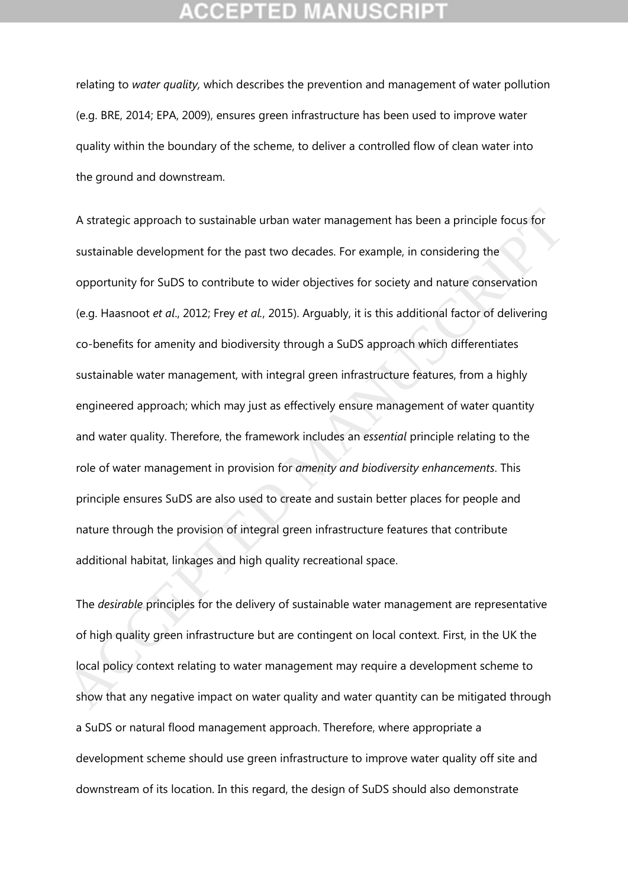relating to *water quality,* which describes the prevention and management of water pollution (e.g. BRE, 2014; EPA, 2009), ensures green infrastructure has been used to improve water quality within the boundary of the scheme, to deliver a controlled flow of clean water into the ground and downstream.

A strategic approach to sustainable urban water management has been a principle focus for sustainable development for the past two decades. For example, in considering the opportunity for SuDS to contribute to wider objectives for society and nature conservation (e.g. Haasnoot *et al*., 2012; Frey *et al.*, 2015). Arguably, it is this additional factor of delivering co-benefits for amenity and biodiversity through a SuDS approach which differentiates sustainable water management, with integral green infrastructure features, from a highly engineered approach; which may just as effectively ensure management of water quantity and water quality. Therefore, the framework includes an *essential* principle relating to the role of water management in provision for *amenity and biodiversity enhancements*. This principle ensures SuDS are also used to create and sustain better places for people and nature through the provision of integral green infrastructure features that contribute additional habitat, linkages and high quality recreational space. A strategic approach to sustainable urban water management has been a principle focus for<br>sustainable development for the past two decades. For example, in considering the<br>opportunity for SuDS to contribute to wider objec

The *desirable* principles for the delivery of sustainable water management are representative of high quality green infrastructure but are contingent on local context. First, in the UK the local policy context relating to water management may require a development scheme to show that any negative impact on water quality and water quantity can be mitigated through a SuDS or natural flood management approach. Therefore, where appropriate a development scheme should use green infrastructure to improve water quality off site and downstream of its location. In this regard, the design of SuDS should also demonstrate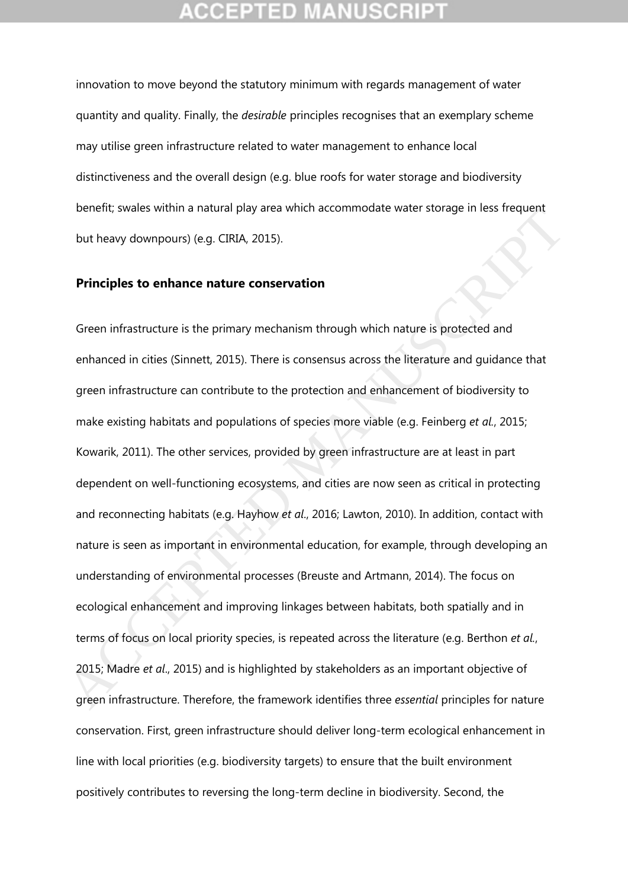innovation to move beyond the statutory minimum with regards management of water quantity and quality. Finally, the *desirable* principles recognises that an exemplary scheme may utilise green infrastructure related to water management to enhance local distinctiveness and the overall design (e.g. blue roofs for water storage and biodiversity benefit; swales within a natural play area which accommodate water storage in less frequent but heavy downpours) (e.g. CIRIA, 2015).

### **Principles to enhance nature conservation**

Green infrastructure is the primary mechanism through which nature is protected and enhanced in cities (Sinnett, 2015). There is consensus across the literature and guidance that green infrastructure can contribute to the protection and enhancement of biodiversity to make existing habitats and populations of species more viable (e.g. Feinberg *et al.*, 2015; Kowarik, 2011). The other services, provided by green infrastructure are at least in part dependent on well-functioning ecosystems, and cities are now seen as critical in protecting and reconnecting habitats (e.g. Hayhow *et al*., 2016; Lawton, 2010). In addition, contact with nature is seen as important in environmental education, for example, through developing an understanding of environmental processes (Breuste and Artmann, 2014). The focus on ecological enhancement and improving linkages between habitats, both spatially and in terms of focus on local priority species, is repeated across the literature (e.g. Berthon *et al.*, 2015; Madre *et al*., 2015) and is highlighted by stakeholders as an important objective of green infrastructure. Therefore, the framework identifies three *essential* principles for nature conservation. First, green infrastructure should deliver long-term ecological enhancement in line with local priorities (e.g. biodiversity targets) to ensure that the built environment positively contributes to reversing the long-term decline in biodiversity. Second, the Detection, swates within a hatural play alea with accommodate water storage in less requent<br>but heavy downpours) (e.g. CIRIA, 2015).<br>**Principles to enhance nature conservation**<br>Green infrastructure is the primary mechanism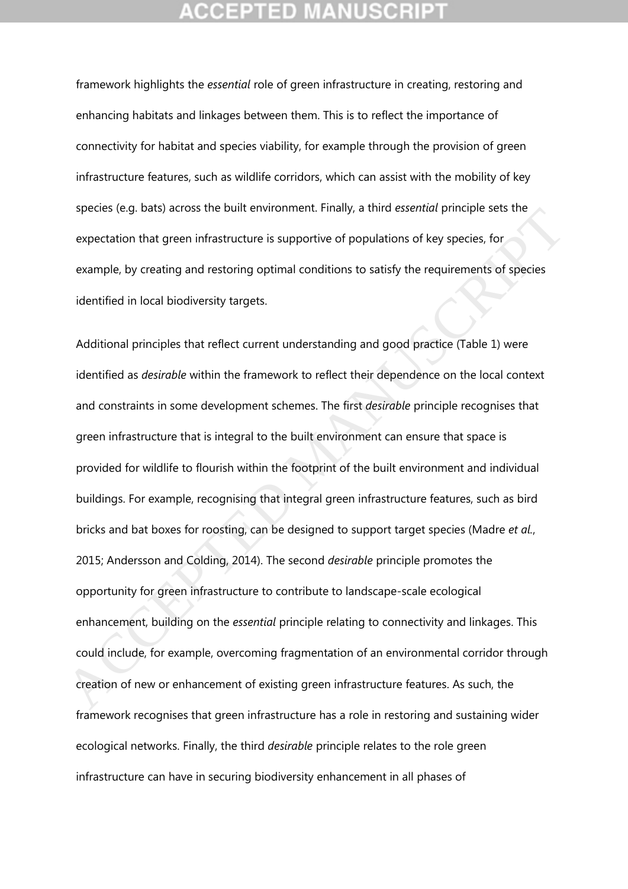framework highlights the *essential* role of green infrastructure in creating, restoring and enhancing habitats and linkages between them. This is to reflect the importance of connectivity for habitat and species viability, for example through the provision of green infrastructure features, such as wildlife corridors, which can assist with the mobility of key species (e.g. bats) across the built environment. Finally, a third *essential* principle sets the expectation that green infrastructure is supportive of populations of key species, for example, by creating and restoring optimal conditions to satisfy the requirements of species identified in local biodiversity targets.

Additional principles that reflect current understanding and good practice (Table 1) were identified as *desirable* within the framework to reflect their dependence on the local context and constraints in some development schemes. The first *desirable* principle recognises that green infrastructure that is integral to the built environment can ensure that space is provided for wildlife to flourish within the footprint of the built environment and individual buildings. For example, recognising that integral green infrastructure features, such as bird bricks and bat boxes for roosting, can be designed to support target species (Madre *et al.*, 2015; Andersson and Colding, 2014). The second *desirable* principle promotes the opportunity for green infrastructure to contribute to landscape-scale ecological enhancement, building on the *essential* principle relating to connectivity and linkages. This could include, for example, overcoming fragmentation of an environmental corridor through creation of new or enhancement of existing green infrastructure features. As such, the framework recognises that green infrastructure has a role in restoring and sustaining wider ecological networks. Finally, the third *desirable* principle relates to the role green infrastructure can have in securing biodiversity enhancement in all phases of species (e.g. bats) attioss the built environment. Finally, a timit essential principle sets ine<br>expectation that green infrastructure is supportive of populations of key species, for<br>example, by creating and restoring opt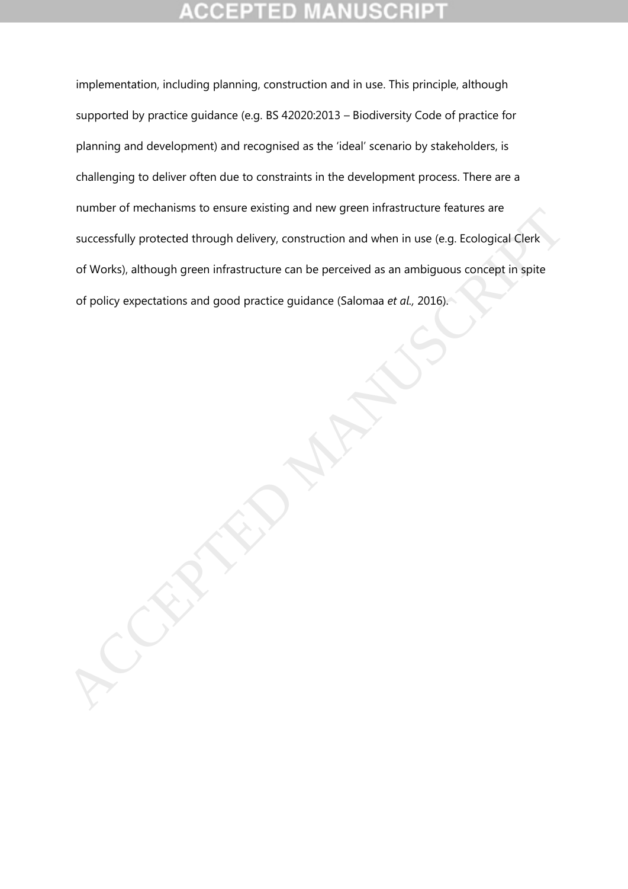# **CEPTED**

implementation, including planning, construction and in use. This principle, although supported by practice guidance (e.g. BS 42020:2013 – Biodiversity Code of practice for planning and development) and recognised as the 'ideal' scenario by stakeholders, is challenging to deliver often due to constraints in the development process. There are a number of mechanisms to ensure existing and new green infrastructure features are successfully protected through delivery, construction and when in use (e.g. Ecological Clerk of Works), although green infrastructure can be perceived as an ambiguous concept in spite of policy expectations and good practice guidance (Salomaa *et al.,* 2016). Funding of the construction and when in use (e.g. Ecological Clerk<br>successfully protected through delivery, construction and when in use (e.g. Ecological Clerk<br>of Works), although green infrastructure can be perceived as a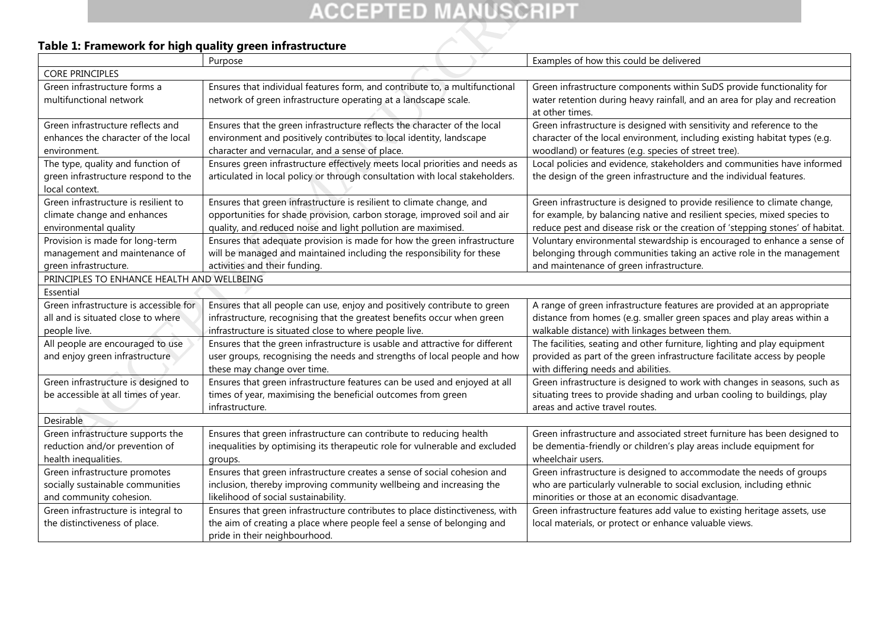## **Table 1: Framework for high quality green infrastructure**

| <b>ACCEPTED MANUSCRIPT</b>                                                                                                                                                                |                                                                                                                                                                                                                                                                                                                                                                                                          |                                                                                                                                                                                                                                                                                                                                                                                                                                        |  |
|-------------------------------------------------------------------------------------------------------------------------------------------------------------------------------------------|----------------------------------------------------------------------------------------------------------------------------------------------------------------------------------------------------------------------------------------------------------------------------------------------------------------------------------------------------------------------------------------------------------|----------------------------------------------------------------------------------------------------------------------------------------------------------------------------------------------------------------------------------------------------------------------------------------------------------------------------------------------------------------------------------------------------------------------------------------|--|
| Table 1: Framework for high quality green infrastructure                                                                                                                                  |                                                                                                                                                                                                                                                                                                                                                                                                          |                                                                                                                                                                                                                                                                                                                                                                                                                                        |  |
|                                                                                                                                                                                           | Purpose                                                                                                                                                                                                                                                                                                                                                                                                  | Examples of how this could be delivered                                                                                                                                                                                                                                                                                                                                                                                                |  |
| <b>CORE PRINCIPLES</b>                                                                                                                                                                    |                                                                                                                                                                                                                                                                                                                                                                                                          |                                                                                                                                                                                                                                                                                                                                                                                                                                        |  |
| Green infrastructure forms a<br>multifunctional network                                                                                                                                   | Ensures that individual features form, and contribute to, a multifunctional<br>network of green infrastructure operating at a landscape scale.                                                                                                                                                                                                                                                           | Green infrastructure components within SuDS provide functionality for<br>water retention during heavy rainfall, and an area for play and recreation<br>at other times.                                                                                                                                                                                                                                                                 |  |
| Green infrastructure reflects and<br>enhances the character of the local<br>environment.                                                                                                  | Ensures that the green infrastructure reflects the character of the local<br>environment and positively contributes to local identity, landscape<br>character and vernacular, and a sense of place.                                                                                                                                                                                                      | Green infrastructure is designed with sensitivity and reference to the<br>character of the local environment, including existing habitat types (e.g.<br>woodland) or features (e.g. species of street tree).                                                                                                                                                                                                                           |  |
| The type, quality and function of<br>green infrastructure respond to the<br>local context.                                                                                                | Ensures green infrastructure effectively meets local priorities and needs as<br>articulated in local policy or through consultation with local stakeholders.                                                                                                                                                                                                                                             | Local policies and evidence, stakeholders and communities have informed<br>the design of the green infrastructure and the individual features.                                                                                                                                                                                                                                                                                         |  |
| Green infrastructure is resilient to<br>climate change and enhances<br>environmental quality<br>Provision is made for long-term<br>management and maintenance of<br>green infrastructure. | Ensures that green infrastructure is resilient to climate change, and<br>opportunities for shade provision, carbon storage, improved soil and air<br>quality, and reduced noise and light pollution are maximised.<br>Ensures that adequate provision is made for how the green infrastructure<br>will be managed and maintained including the responsibility for these<br>activities and their funding. | Green infrastructure is designed to provide resilience to climate change,<br>for example, by balancing native and resilient species, mixed species to<br>reduce pest and disease risk or the creation of 'stepping stones' of habitat.<br>Voluntary environmental stewardship is encouraged to enhance a sense of<br>belonging through communities taking an active role in the management<br>and maintenance of green infrastructure. |  |
| PRINCIPLES TO ENHANCE HEALTH AND WELLBEING                                                                                                                                                |                                                                                                                                                                                                                                                                                                                                                                                                          |                                                                                                                                                                                                                                                                                                                                                                                                                                        |  |
| Essential                                                                                                                                                                                 |                                                                                                                                                                                                                                                                                                                                                                                                          |                                                                                                                                                                                                                                                                                                                                                                                                                                        |  |
| Green infrastructure is accessible for<br>all and is situated close to where<br>people live.                                                                                              | Ensures that all people can use, enjoy and positively contribute to green<br>infrastructure, recognising that the greatest benefits occur when green<br>infrastructure is situated close to where people live.                                                                                                                                                                                           | A range of green infrastructure features are provided at an appropriate<br>distance from homes (e.g. smaller green spaces and play areas within a<br>walkable distance) with linkages between them.                                                                                                                                                                                                                                    |  |
| All people are encouraged to use<br>and enjoy green infrastructure                                                                                                                        | Ensures that the green infrastructure is usable and attractive for different<br>user groups, recognising the needs and strengths of local people and how<br>these may change over time.                                                                                                                                                                                                                  | The facilities, seating and other furniture, lighting and play equipment<br>provided as part of the green infrastructure facilitate access by people<br>with differing needs and abilities.                                                                                                                                                                                                                                            |  |
| Green infrastructure is designed to<br>be accessible at all times of year.                                                                                                                | Ensures that green infrastructure features can be used and enjoyed at all<br>times of year, maximising the beneficial outcomes from green<br>infrastructure.                                                                                                                                                                                                                                             | Green infrastructure is designed to work with changes in seasons, such as<br>situating trees to provide shading and urban cooling to buildings, play<br>areas and active travel routes.                                                                                                                                                                                                                                                |  |
| Desirable                                                                                                                                                                                 |                                                                                                                                                                                                                                                                                                                                                                                                          |                                                                                                                                                                                                                                                                                                                                                                                                                                        |  |
| Green infrastructure supports the<br>reduction and/or prevention of<br>health inequalities.                                                                                               | Ensures that green infrastructure can contribute to reducing health<br>inequalities by optimising its therapeutic role for vulnerable and excluded<br>groups.                                                                                                                                                                                                                                            | Green infrastructure and associated street furniture has been designed to<br>be dementia-friendly or children's play areas include equipment for<br>wheelchair users.                                                                                                                                                                                                                                                                  |  |
| Green infrastructure promotes<br>socially sustainable communities<br>and community cohesion.                                                                                              | Ensures that green infrastructure creates a sense of social cohesion and<br>inclusion, thereby improving community wellbeing and increasing the<br>likelihood of social sustainability.                                                                                                                                                                                                                  | Green infrastructure is designed to accommodate the needs of groups<br>who are particularly vulnerable to social exclusion, including ethnic<br>minorities or those at an economic disadvantage.                                                                                                                                                                                                                                       |  |
| Green infrastructure is integral to<br>the distinctiveness of place.                                                                                                                      | Ensures that green infrastructure contributes to place distinctiveness, with<br>the aim of creating a place where people feel a sense of belonging and<br>pride in their neighbourhood.                                                                                                                                                                                                                  | Green infrastructure features add value to existing heritage assets, use<br>local materials, or protect or enhance valuable views.                                                                                                                                                                                                                                                                                                     |  |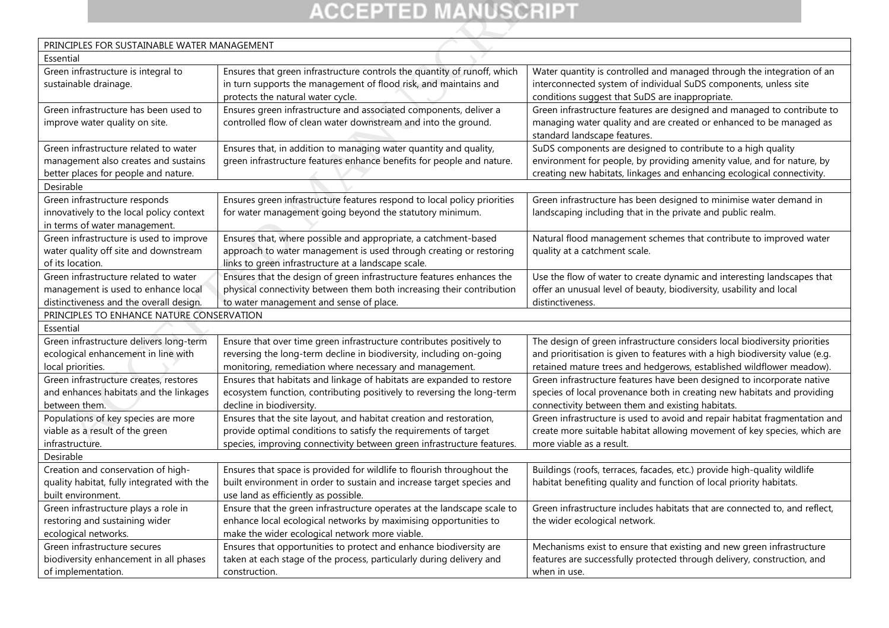| <b>ACCEPTED MANUSCRIPT</b>                                                       |                                                                                                                                       |                                                                                                     |  |
|----------------------------------------------------------------------------------|---------------------------------------------------------------------------------------------------------------------------------------|-----------------------------------------------------------------------------------------------------|--|
|                                                                                  |                                                                                                                                       |                                                                                                     |  |
| PRINCIPLES FOR SUSTAINABLE WATER MANAGEMENT                                      |                                                                                                                                       |                                                                                                     |  |
| Essential                                                                        |                                                                                                                                       |                                                                                                     |  |
| Green infrastructure is integral to                                              | Ensures that green infrastructure controls the quantity of runoff, which                                                              | Water quantity is controlled and managed through the integration of an                              |  |
| sustainable drainage.                                                            | in turn supports the management of flood risk, and maintains and                                                                      | interconnected system of individual SuDS components, unless site                                    |  |
|                                                                                  | protects the natural water cycle.                                                                                                     | conditions suggest that SuDS are inappropriate.                                                     |  |
| Green infrastructure has been used to                                            | Ensures green infrastructure and associated components, deliver a                                                                     | Green infrastructure features are designed and managed to contribute to                             |  |
| improve water quality on site.                                                   | controlled flow of clean water downstream and into the ground.                                                                        | managing water quality and are created or enhanced to be managed as                                 |  |
|                                                                                  |                                                                                                                                       | standard landscape features.                                                                        |  |
| Green infrastructure related to water                                            | Ensures that, in addition to managing water quantity and quality,                                                                     | SuDS components are designed to contribute to a high quality                                        |  |
| management also creates and sustains                                             | green infrastructure features enhance benefits for people and nature.                                                                 | environment for people, by providing amenity value, and for nature, by                              |  |
| better places for people and nature.                                             |                                                                                                                                       | creating new habitats, linkages and enhancing ecological connectivity.                              |  |
| Desirable                                                                        |                                                                                                                                       |                                                                                                     |  |
| Green infrastructure responds                                                    | Ensures green infrastructure features respond to local policy priorities                                                              | Green infrastructure has been designed to minimise water demand in                                  |  |
| innovatively to the local policy context                                         | for water management going beyond the statutory minimum.                                                                              | landscaping including that in the private and public realm.                                         |  |
| in terms of water management.                                                    |                                                                                                                                       |                                                                                                     |  |
| Green infrastructure is used to improve<br>water quality off site and downstream | Ensures that, where possible and appropriate, a catchment-based<br>approach to water management is used through creating or restoring | Natural flood management schemes that contribute to improved water<br>quality at a catchment scale. |  |
| of its location.                                                                 | links to green infrastructure at a landscape scale.                                                                                   |                                                                                                     |  |
| Green infrastructure related to water                                            | Ensures that the design of green infrastructure features enhances the                                                                 | Use the flow of water to create dynamic and interesting landscapes that                             |  |
| management is used to enhance local                                              | physical connectivity between them both increasing their contribution                                                                 | offer an unusual level of beauty, biodiversity, usability and local                                 |  |
| distinctiveness and the overall design.                                          | to water management and sense of place.                                                                                               | distinctiveness.                                                                                    |  |
| PRINCIPLES TO ENHANCE NATURE CONSERVATION                                        |                                                                                                                                       |                                                                                                     |  |
| Essential                                                                        |                                                                                                                                       |                                                                                                     |  |
| Green infrastructure delivers long-term                                          | Ensure that over time green infrastructure contributes positively to                                                                  | The design of green infrastructure considers local biodiversity priorities                          |  |
| ecological enhancement in line with                                              | reversing the long-term decline in biodiversity, including on-going                                                                   | and prioritisation is given to features with a high biodiversity value (e.g.                        |  |
| local priorities.                                                                | monitoring, remediation where necessary and management.                                                                               | retained mature trees and hedgerows, established wildflower meadow).                                |  |
| Green infrastructure creates, restores                                           | Ensures that habitats and linkage of habitats are expanded to restore                                                                 | Green infrastructure features have been designed to incorporate native                              |  |
| and enhances habitats and the linkages                                           | ecosystem function, contributing positively to reversing the long-term                                                                | species of local provenance both in creating new habitats and providing                             |  |
| between them.                                                                    | decline in biodiversity.                                                                                                              | connectivity between them and existing habitats.                                                    |  |
| Populations of key species are more                                              | Ensures that the site layout, and habitat creation and restoration,                                                                   | Green infrastructure is used to avoid and repair habitat fragmentation and                          |  |
| viable as a result of the green                                                  | provide optimal conditions to satisfy the requirements of target                                                                      | create more suitable habitat allowing movement of key species, which are                            |  |
| infrastructure.                                                                  | species, improving connectivity between green infrastructure features.                                                                | more viable as a result.                                                                            |  |
| Desirable                                                                        |                                                                                                                                       |                                                                                                     |  |
| Creation and conservation of high-                                               | Ensures that space is provided for wildlife to flourish throughout the                                                                | Buildings (roofs, terraces, facades, etc.) provide high-quality wildlife                            |  |
| quality habitat, fully integrated with the<br>built environment.                 | built environment in order to sustain and increase target species and<br>use land as efficiently as possible.                         | habitat benefiting quality and function of local priority habitats.                                 |  |
| Green infrastructure plays a role in                                             | Ensure that the green infrastructure operates at the landscape scale to                                                               | Green infrastructure includes habitats that are connected to, and reflect,                          |  |
| restoring and sustaining wider                                                   | enhance local ecological networks by maximising opportunities to                                                                      | the wider ecological network.                                                                       |  |
| ecological networks.                                                             | make the wider ecological network more viable.                                                                                        |                                                                                                     |  |
| Green infrastructure secures                                                     | Ensures that opportunities to protect and enhance biodiversity are                                                                    | Mechanisms exist to ensure that existing and new green infrastructure                               |  |
| biodiversity enhancement in all phases                                           | taken at each stage of the process, particularly during delivery and                                                                  | features are successfully protected through delivery, construction, and                             |  |
| of implementation.                                                               | construction.                                                                                                                         | when in use.                                                                                        |  |
|                                                                                  |                                                                                                                                       |                                                                                                     |  |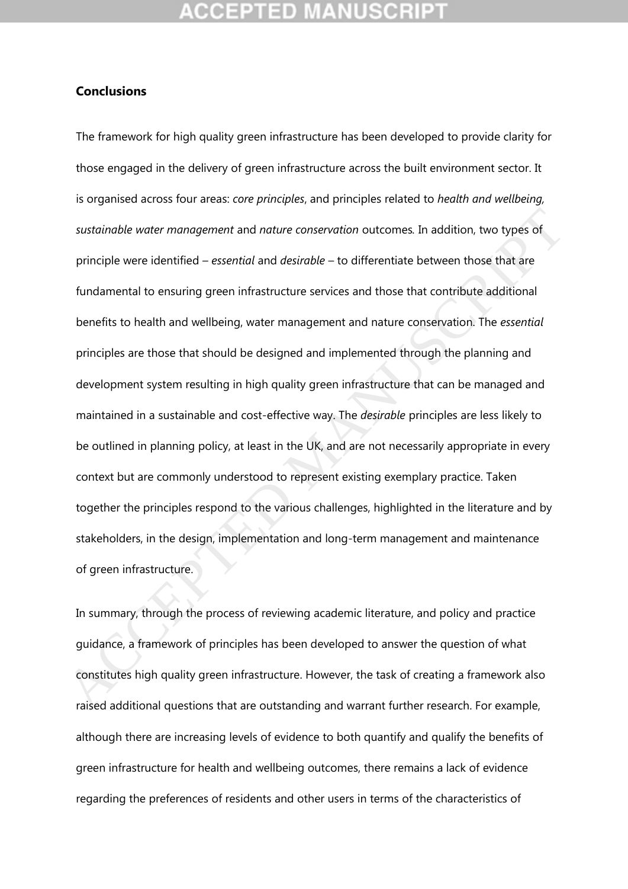### **Conclusions**

The framework for high quality green infrastructure has been developed to provide clarity for those engaged in the delivery of green infrastructure across the built environment sector. It is organised across four areas: *core principles*, and principles related to *health and wellbeing, sustainable water management* and *nature conservation* outcomes*.* In addition, two types of principle were identified – *essential* and *desirable* – to differentiate between those that are fundamental to ensuring green infrastructure services and those that contribute additional benefits to health and wellbeing, water management and nature conservation. The *essential*  principles are those that should be designed and implemented through the planning and development system resulting in high quality green infrastructure that can be managed and maintained in a sustainable and cost-effective way. The *desirable* principles are less likely to be outlined in planning policy, at least in the UK, and are not necessarily appropriate in every context but are commonly understood to represent existing exemplary practice. Taken together the principles respond to the various challenges, highlighted in the literature and by stakeholders, in the design, implementation and long-term management and maintenance of green infrastructure. sustainable water management and nature conservation outcomes. In addition, two types of<br>principle were identified – essential and desirable – to differentiate between those that are<br>fundamental to ensuring green infrastru

In summary, through the process of reviewing academic literature, and policy and practice guidance, a framework of principles has been developed to answer the question of what constitutes high quality green infrastructure. However, the task of creating a framework also raised additional questions that are outstanding and warrant further research. For example, although there are increasing levels of evidence to both quantify and qualify the benefits of green infrastructure for health and wellbeing outcomes, there remains a lack of evidence regarding the preferences of residents and other users in terms of the characteristics of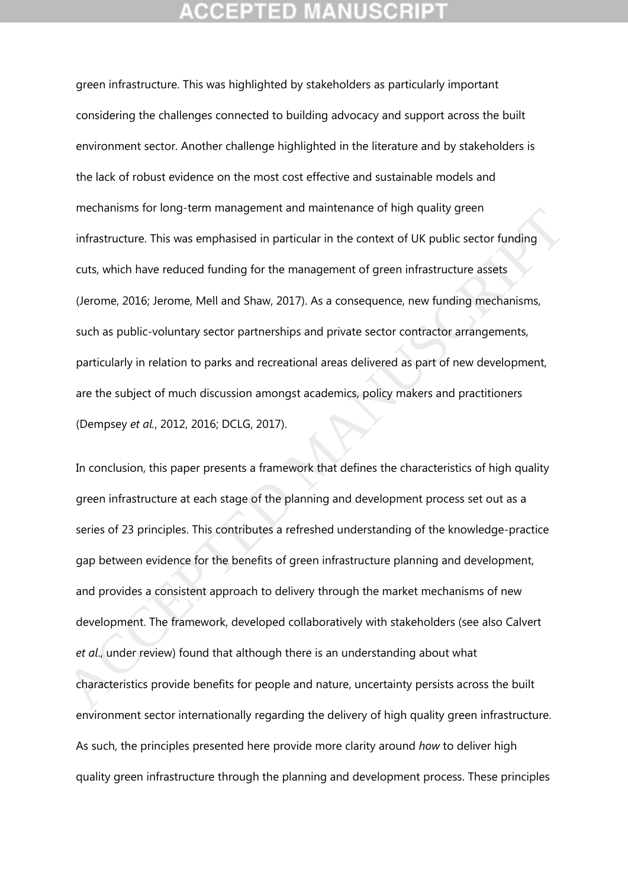green infrastructure. This was highlighted by stakeholders as particularly important considering the challenges connected to building advocacy and support across the built environment sector. Another challenge highlighted in the literature and by stakeholders is the lack of robust evidence on the most cost effective and sustainable models and mechanisms for long-term management and maintenance of high quality green infrastructure. This was emphasised in particular in the context of UK public sector funding cuts, which have reduced funding for the management of green infrastructure assets (Jerome, 2016; Jerome, Mell and Shaw, 2017). As a consequence, new funding mechanisms, such as public-voluntary sector partnerships and private sector contractor arrangements, particularly in relation to parks and recreational areas delivered as part of new development, are the subject of much discussion amongst academics, policy makers and practitioners (Dempsey *et al.*, 2012, 2016; DCLG, 2017).

In conclusion, this paper presents a framework that defines the characteristics of high quality green infrastructure at each stage of the planning and development process set out as a series of 23 principles. This contributes a refreshed understanding of the knowledge-practice gap between evidence for the benefits of green infrastructure planning and development, and provides a consistent approach to delivery through the market mechanisms of new development. The framework, developed collaboratively with stakeholders (see also Calvert *et al*., under review) found that although there is an understanding about what characteristics provide benefits for people and nature, uncertainty persists across the built environment sector internationally regarding the delivery of high quality green infrastructure. As such, the principles presented here provide more clarity around *how* to deliver high quality green infrastructure through the planning and development process. These principles infrastructure. This was emphasised in particular in the context of UK public sector funding<br>infrastructure. This was emphasised in particular in the context of UK public sector funding<br>cuts, which have reduced funding for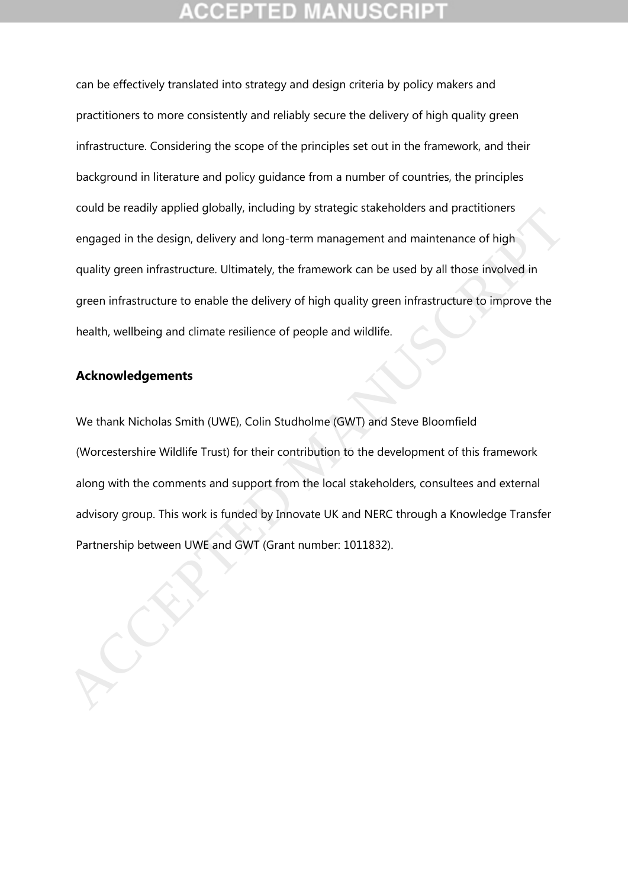can be effectively translated into strategy and design criteria by policy makers and practitioners to more consistently and reliably secure the delivery of high quality green infrastructure. Considering the scope of the principles set out in the framework, and their background in literature and policy guidance from a number of countries, the principles could be readily applied globally, including by strategic stakeholders and practitioners engaged in the design, delivery and long-term management and maintenance of high quality green infrastructure. Ultimately, the framework can be used by all those involved in green infrastructure to enable the delivery of high quality green infrastructure to improve the health, wellbeing and climate resilience of people and wildlife.

## **Acknowledgements**

We thank Nicholas Smith (UWE), Colin Studholme (GWT) and Steve Bloomfield (Worcestershire Wildlife Trust) for their contribution to the development of this framework along with the comments and support from the local stakeholders, consultees and external advisory group. This work is funded by Innovate UK and NERC through a Knowledge Transfer Could be Healily applied globally. Including by stategic statemoties and plactuonies<br>
engaged in the design, delivery and long-term management and maintenance of high<br>
quality green infrastructure. Ultimately, the framewor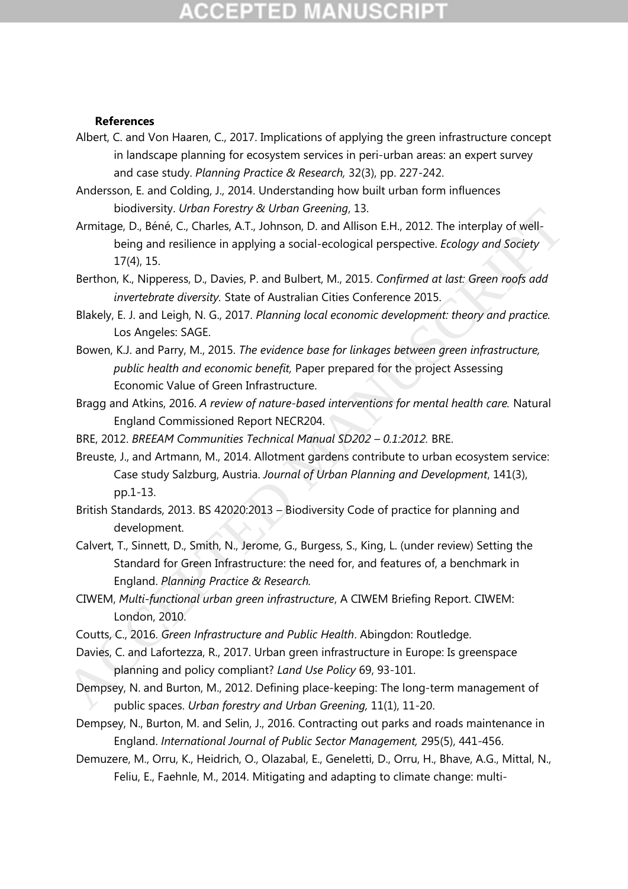# **CCEPTED MANUSCR**

### **References**

- Albert, C. and Von Haaren, C., 2017. Implications of applying the green infrastructure concept in landscape planning for ecosystem services in peri-urban areas: an expert survey and case study. *Planning Practice & Research,* 32(3), pp. 227-242.
- Andersson, E. and Colding, J., 2014. Understanding how built urban form influences biodiversity. *Urban Forestry & Urban Greening*, 13.
- Armitage, D., Béné, C., Charles, A.T., Johnson, D. and Allison E.H., 2012. The interplay of wellbeing and resilience in applying a social-ecological perspective. *Ecology and Society* 17(4), 15.
- Berthon, K., Nipperess, D., Davies, P. and Bulbert, M., 2015. *Confirmed at last: Green roofs add invertebrate diversity.* State of Australian Cities Conference 2015.
- Blakely, E. J. and Leigh, N. G., 2017. *Planning local economic development: theory and practice.*  Los Angeles: SAGE.
- Bowen, K.J. and Parry, M., 2015. *The evidence base for linkages between green infrastructure, public health and economic benefit,* Paper prepared for the project Assessing Economic Value of Green Infrastructure.
- Bragg and Atkins, 2016. *A review of nature-based interventions for mental health care.* Natural England Commissioned Report NECR204.
- BRE, 2012. *BREEAM Communities Technical Manual SD202 – 0.1:2012.* BRE.
- Breuste, J., and Artmann, M., 2014. Allotment gardens contribute to urban ecosystem service: Case study Salzburg, Austria. *Journal of Urban Planning and Development*, 141(3), pp.1-13. undurersity. *Until Treations, Theory at Undurersity at Undurersity*, 1.1<br>
Armitage, D., Béné, C., Charles, A.T., Johnson, D. and Allison E.H., 2012. The interplay of well-<br>
being and resilence in applying a social-ecologi
	- British Standards, 2013. BS 42020:2013 Biodiversity Code of practice for planning and development.
	- Calvert, T., Sinnett, D., Smith, N., Jerome, G., Burgess, S., King, L. (under review) Setting the Standard for Green Infrastructure: the need for, and features of, a benchmark in England. *Planning Practice & Research.*
	- CIWEM, *Multi-functional urban green infrastructure*, A CIWEM Briefing Report. CIWEM: London, 2010.
	- Coutts, C., 2016. *Green Infrastructure and Public Health*. Abingdon: Routledge.
	- Davies, C. and Lafortezza, R., 2017. Urban green infrastructure in Europe: Is greenspace planning and policy compliant? *Land Use Policy* 69, 93-101.
	- Dempsey, N. and Burton, M., 2012. Defining place-keeping: The long-term management of public spaces. *Urban forestry and Urban Greening,* 11(1), 11-20.
	- Dempsey, N., Burton, M. and Selin, J., 2016. Contracting out parks and roads maintenance in England. *International Journal of Public Sector Management,* 295(5), 441-456.
	- Demuzere, M., Orru, K., Heidrich, O., Olazabal, E., Geneletti, D., Orru, H., Bhave, A.G., Mittal, N., Feliu, E., Faehnle, M., 2014. Mitigating and adapting to climate change: multi-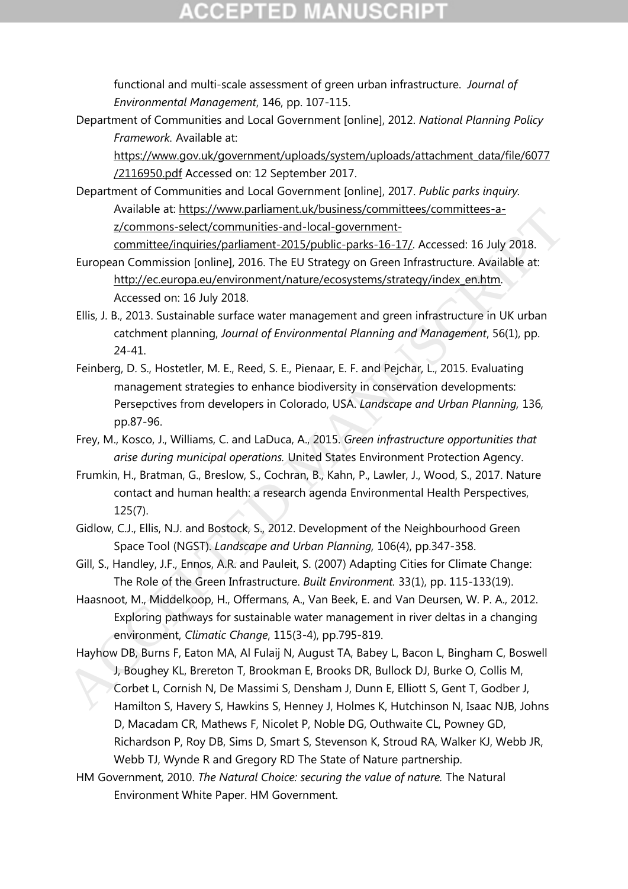# **CCEPTED MANUSCRIPT**

functional and multi-scale assessment of green urban infrastructure. *Journal of Environmental Management*, 146, pp. 107-115.

Department of Communities and Local Government [online], 2012. *National Planning Policy Framework.* Available at:

[https://www.gov.uk/government/uploads/system/uploads/attachment\\_data/file/6077](https://www.gov.uk/government/uploads/system/uploads/attachment_data/file/6077/2116950.pdf) [/2116950.pdf](https://www.gov.uk/government/uploads/system/uploads/attachment_data/file/6077/2116950.pdf) Accessed on: 12 September 2017.

Department of Communities and Local Government [online], 2017. *Public parks inquiry.*  Available at: https://www.parliament.uk/business/committees/committees-az/commons-select/communities-and-local-government-

committee/inquiries/parliament-2015/public-parks-16-17/. Accessed: 16 July 2018.

- European Commission [online], 2016. The EU Strategy on Green Infrastructure. Available at: http://ec.europa.eu/environment/nature/ecosystems/strategy/index\_en.htm. Accessed on: 16 July 2018.
- Ellis, J. B., 2013. Sustainable surface water management and green infrastructure in UK urban catchment planning, *Journal of Environmental Planning and Management*, 56(1), pp. 24-41.
- Feinberg, D. S., Hostetler, M. E., Reed, S. E., Pienaar, E. F. and Pejchar, L., 2015. Evaluating management strategies to enhance biodiversity in conservation developments: Persepctives from developers in Colorado, USA. *Landscape and Urban Planning,* 136*,*  pp.87-96. Available at <u>mpsszylvowapamient utvicutisiness</u><br>
2000 Manos select/communities and local government:<br>
committee/inquiries/parliament-2015/public-parks-16-17/. Accessed: 16 July 2018.<br>
European Commission (poline), 2016. T
	- Frey, M., Kosco, J., Williams, C. and LaDuca, A., 2015. *Green infrastructure opportunities that arise during municipal operations.* United States Environment Protection Agency.
	- Frumkin, H., Bratman, G., Breslow, S., Cochran, B., Kahn, P., Lawler, J., Wood, S., 2017. Nature contact and human health: a research agenda Environmental Health Perspectives, 125(7).
	- Gidlow, C.J., Ellis, N.J. and Bostock, S., 2012. Development of the Neighbourhood Green Space Tool (NGST). *Landscape and Urban Planning,* 106(4), pp.347-358.
	- Gill, S., Handley, J.F., Ennos, A.R. and Pauleit, S. (2007) Adapting Cities for Climate Change: The Role of the Green Infrastructure. *Built Environment.* 33(1), pp. 115-133(19).
	- Haasnoot, M., Middelkoop, H., Offermans, A., Van Beek, E. and Van Deursen, W. P. A., 2012. Exploring pathways for sustainable water management in river deltas in a changing environment, *Climatic Change*, 115(3-4), pp.795-819.
	- Hayhow DB, Burns F, Eaton MA, Al Fulaij N, August TA, Babey L, Bacon L, Bingham C, Boswell J, Boughey KL, Brereton T, Brookman E, Brooks DR, Bullock DJ, Burke O, Collis M, Corbet L, Cornish N, De Massimi S, Densham J, Dunn E, Elliott S, Gent T, Godber J, Hamilton S, Havery S, Hawkins S, Henney J, Holmes K, Hutchinson N, Isaac NJB, Johns D, Macadam CR, Mathews F, Nicolet P, Noble DG, Outhwaite CL, Powney GD, Richardson P, Roy DB, Sims D, Smart S, Stevenson K, Stroud RA, Walker KJ, Webb JR, Webb TJ, Wynde R and Gregory RD The State of Nature partnership.
	- HM Government, 2010. *The Natural Choice: securing the value of nature.* The Natural Environment White Paper. HM Government.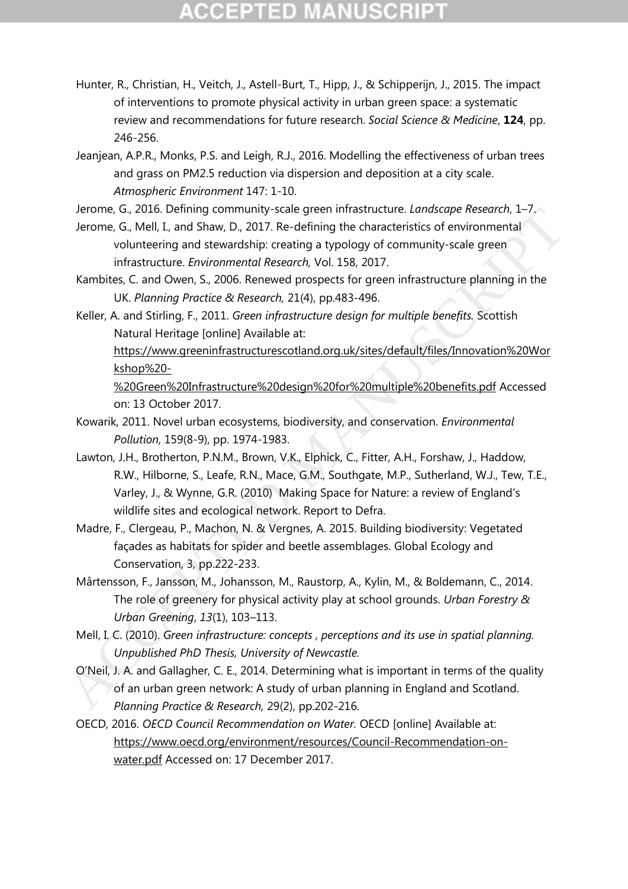# **CCEPTED MANUSCRIPT**

- Hunter, R., Christian, H., Veitch, J., Astell-Burt, T., Hipp, J., & Schipperijn, J., 2015. The impact of interventions to promote physical activity in urban green space: a systematic review and recommendations for future research. *Social Science & Medicine*, **124**, pp. 246-256.
- Jeanjean, A.P.R., Monks, P.S. and Leigh, R.J., 2016. Modelling the effectiveness of urban trees and grass on PM2.5 reduction via dispersion and deposition at a city scale. *Atmospheric Environment* 147: 1-10.

Jerome, G., 2016. Defining community-scale green infrastructure. *Landscape Research*, 1–7.

- Jerome, G., Mell, I., and Shaw, D., 2017. Re-defining the characteristics of environmental volunteering and stewardship: creating a typology of community-scale green infrastructure. *Environmental Research,* Vol. 158, 2017.
- Kambites, C. and Owen, S., 2006. Renewed prospects for green infrastructure planning in the UK. *Planning Practice & Research,* 21(4), pp.483-496.
- Keller, A. and Stirling, F., 2011. *Green infrastructure design for multiple benefits.* Scottish Natural Heritage [online] Available at:

https://www.greeninfrastructurescotland.org.uk/sites/default/files/Innovation%20Wor kshop%20-

%20Green%20Infrastructure%20design%20for%20multiple%20benefits.pdf Accessed on: 13 October 2017.

- Kowarik, 2011. Novel urban ecosystems, biodiversity, and conservation. *Environmental Pollution,* 159(8-9), pp. 1974-1983.
- Lawton, J.H., Brotherton, P.N.M., Brown, V.K., Elphick, C., Fitter, A.H., Forshaw, J., Haddow, R.W., Hilborne, S., Leafe, R.N., Mace, G.M., Southgate, M.P., Sutherland, W.J., Tew, T.E., Varley, J., & Wynne, G.R. (2010) Making Space for Nature: a review of England's wildlife sites and ecological network. Report to Defra. Let once, G., 2010. Demining community-scale green intrastructure: *Landscope researce,* a columination of columination columitering and stewardship; creating a typology of community-scale green volumitering and stewardsh
	- Madre, F., Clergeau, P., Machon, N. & Vergnes, A. 2015. Building biodiversity: Vegetated façades as habitats for spider and beetle assemblages. Global Ecology and Conservation, 3, pp.222-233.
	- Mårtensson, F., Jansson, M., Johansson, M., Raustorp, A., Kylin, M., & Boldemann, C., 2014. The role of greenery for physical activity play at school grounds. *Urban Forestry & Urban Greening*, *13*(1), 103–113.
	- Mell, I. C. (2010). *Green infrastructure: concepts , perceptions and its use in spatial planning. Unpublished PhD Thesis, University of Newcastle.*
	- O'Neil, J. A. and Gallagher, C. E., 2014. Determining what is important in terms of the quality of an urban green network: A study of urban planning in England and Scotland. *Planning Practice & Research,* 29(2), pp.202-216.
	- OECD, 2016. *OECD Council Recommendation on Water.* OECD [online] Available at: [https://www.oecd.org/environment/resources/Council-Recommendation-on](https://www.oecd.org/environment/resources/Council-Recommendation-on-water.pdf)[water.pdf](https://www.oecd.org/environment/resources/Council-Recommendation-on-water.pdf) Accessed on: 17 December 2017.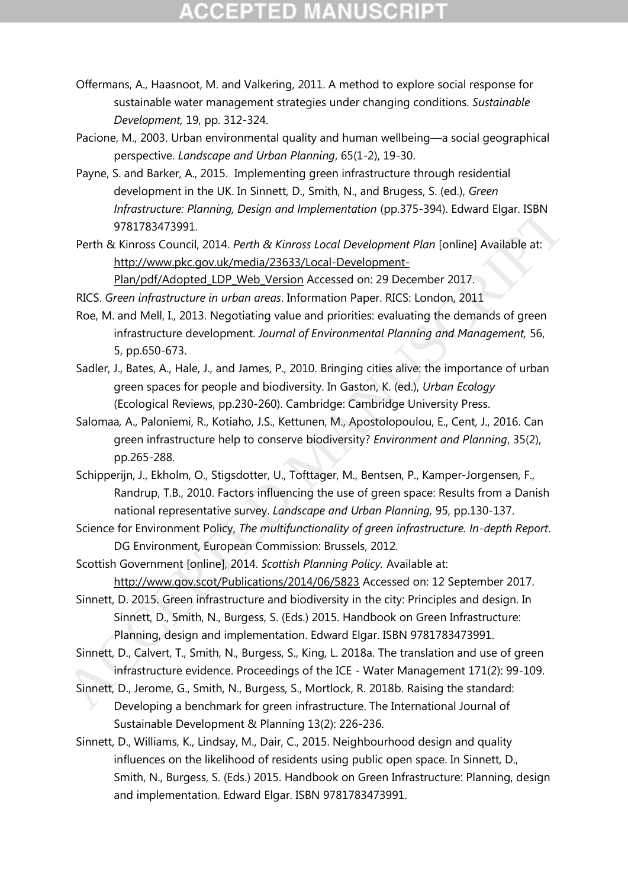# **CCEPTED MANUSCRIP**

- Offermans, A., Haasnoot, M. and Valkering, 2011. A method to explore social response for sustainable water management strategies under changing conditions. *Sustainable Development,* 19, pp. 312-324.
- Pacione, M., 2003. Urban environmental quality and human wellbeing—a social geographical perspective. *Landscape and Urban Planning*, 65(1-2), 19-30.
- Payne, S. and Barker, A., 2015. Implementing green infrastructure through residential development in the UK. In Sinnett, D., Smith, N., and Brugess, S. (ed.), *Green Infrastructure: Planning, Design and Implementation (pp.375-394). Edward Elgar. ISBN* 9781783473991.
- Perth & Kinross Council, 2014. *Perth & Kinross Local Development Plan* [online] Available at: http://www.pkc.gov.uk/media/23633/Local-Development-Plan/pdf/Adopted\_LDP\_Web\_Version Accessed on: 29 December 2017.

RICS. *Green infrastructure in urban areas*. Information Paper. RICS: London, 2011

- Roe, M. and Mell, I., 2013. Negotiating value and priorities: evaluating the demands of green infrastructure development. *Journal of Environmental Planning and Management,* 56, 5, pp.650-673.
- Sadler, J., Bates, A., Hale, J., and James, P., 2010. Bringing cities alive: the importance of urban green spaces for people and biodiversity. In Gaston, K. (ed.), *Urban Ecology*  (Ecological Reviews, pp.230-260). Cambridge: Cambridge University Press.
- Salomaa*,* A., Paloniemi, R., Kotiaho, J.S., Kettunen, M., Apostolopoulou, E., Cent, J., 2016. Can green infrastructure help to conserve biodiversity? *Environment and Planning*, 35(2), pp.265-288. mythetion: "Homing, Design and imperientation (pp.3.5-334), Loward Eight. ISBN<br>
9781783473991.<br>
Perth & Kinross Council, 2014. Perth & Kinross Local Development Plan (online) Available at:<br>
http://www.pk.gov.uk/media/2363
	- Schipperijn, J., Ekholm, O., Stigsdotter, U., Tofttager, M., Bentsen, P., Kamper-Jorgensen, F., Randrup, T.B., 2010. Factors influencing the use of green space: Results from a Danish national representative survey. *Landscape and Urban Planning,* 95, pp.130-137.
	- Science for Environment Policy, *The multifunctionality of green infrastructure. In-depth Report*. DG Environment, European Commission: Brussels, 2012.
	- Scottish Government [online], 2014. *Scottish Planning Policy.* Available at: http://www.gov.scot/Publications/2014/06/5823 Accessed on: 12 September 2017.
	- Sinnett, D. 2015. Green infrastructure and biodiversity in the city: Principles and design. In Sinnett, D., Smith, N., Burgess, S. (Eds.) 2015. Handbook on Green Infrastructure: Planning, design and implementation. Edward Elgar. ISBN 9781783473991.
	- Sinnett, D., Calvert, T., Smith, N., Burgess, S., King, L. 2018a. The translation and use of green infrastructure evidence. Proceedings of the ICE - Water Management 171(2): 99-109.
	- Sinnett, D., Jerome, G., Smith, N., Burgess, S., Mortlock, R. 2018b. Raising the standard: Developing a benchmark for green infrastructure. The International Journal of Sustainable Development & Planning 13(2): 226-236.
	- Sinnett, D., Williams, K., Lindsay, M., Dair, C., 2015. Neighbourhood design and quality influences on the likelihood of residents using public open space. In Sinnett, D., Smith, N., Burgess, S. (Eds.) 2015. Handbook on Green Infrastructure: Planning, design and implementation. Edward Elgar. ISBN 9781783473991.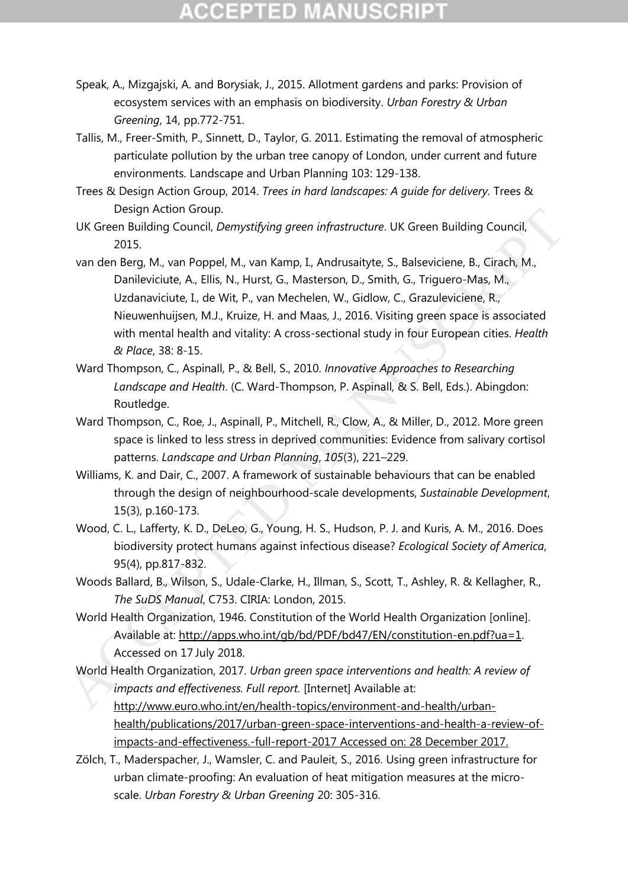# **CCEPTED MANUSCR**

- Speak, A., Mizgajski, A. and Borysiak, J., 2015. Allotment gardens and parks: Provision of ecosystem services with an emphasis on biodiversity. *Urban Forestry & Urban Greening*, 14, pp.772-751.
- Tallis, M., Freer-Smith, P., Sinnett, D., Taylor, G. 2011. Estimating the removal of atmospheric particulate pollution by the urban tree canopy of London, under current and future environments. Landscape and Urban Planning 103: 129-138.
- Trees & Design Action Group, 2014. *Trees in hard landscapes: A guide for delivery.* Trees & Design Action Group.
- UK Green Building Council, *Demystifying green infrastructure*. UK Green Building Council, 2015.
- van den Berg, M., van Poppel, M., van Kamp, I., Andrusaityte, S., Balseviciene, B., Cirach, M., Danileviciute, A., Ellis, N., Hurst, G., Masterson, D., Smith, G., Triguero-Mas, M., Uzdanaviciute, I., de Wit, P., van Mechelen, W., Gidlow, C., Grazuleviciene, R., Nieuwenhuijsen, M.J., Kruize, H. and Maas, J., 2016. Visiting green space is associated with mental health and vitality: A cross-sectional study in four European cities. *Health & Place*, 38: 8-15. UK Green Building Gouncil, Demystifying green infrastructure. UK Green Building Council,<br>
2015.<br>
varia den Berg, M., vari Samp, I., [A](http://www.euro.who.int/en/health-topics/environment-and-health/urban-health/publications/2017/urban-green-space-interventions-and-health-a-review-of-impacts-and-effectiveness.-full-report-2017)ndrussityte, S., Balseviciene, B., Cirach, M.,<br>
Danileviciute, A., [E](http://apps.who.int/gb/bd/PDF/bd47/EN/constitution-en.pdf?ua=1)llis, N., Hurst, G.,
	- Ward Thompson, C., Aspinall, P., & Bell, S., 2010. *Innovative Approaches to Researching Landscape and Health*. (C. Ward-Thompson, P. Aspinall, & S. Bell, Eds.). Abingdon: Routledge.
	- Ward Thompson, C., Roe, J., Aspinall, P., Mitchell, R., Clow, A., & Miller, D., 2012. More green space is linked to less stress in deprived communities: Evidence from salivary cortisol patterns. *Landscape and Urban Planning*, *105*(3), 221–229.
	- Williams, K. and Dair, C., 2007. A framework of sustainable behaviours that can be enabled through the design of neighbourhood-scale developments, *Sustainable Development*, 15(3), p.160-173.
	- Wood, C. L., Lafferty, K. D., DeLeo, G., Young, H. S., Hudson, P. J. and Kuris, A. M., 2016. Does biodiversity protect humans against infectious disease? *Ecological Society of America*, 95(4), pp.817-832.
	- Woods Ballard, B., Wilson, S., Udale-Clarke, H., Illman, S., Scott, T., Ashley, R. & Kellagher, R., *The SuDS Manual*, C753. CIRIA: London, 2015.
	- World Health Organization, 1946. Constitution of the World Health Organization [online]. Available at: http://apps.who.int/gb/bd/PDF/bd47/EN/constitution-en.pdf?ua=1. Accessed on 17 July 2018.
	- World Health Organization, 2017. *Urban green space interventions and health: A review of impacts and effectiveness. Full report.* [Internet] Available at:
		- http://www.euro.who.int/en/health-topics/environment-and-health/urban[health/publications/2017/urban-green-space-interventions-and-health-a-review-of](http://www.euro.who.int/en/health-topics/environment-and-health/urban-health/publications/2017/urban-green-space-interventions-and-health-a-review-of-impacts-and-effectiveness.-full-report-2017)[impacts-and-effectiveness.-full-report-2017](http://www.euro.who.int/en/health-topics/environment-and-health/urban-health/publications/2017/urban-green-space-interventions-and-health-a-review-of-impacts-and-effectiveness.-full-report-2017) Accessed on: 28 December 2017.
	- Zölch, T., Maderspacher, J., Wamsler, C. and Pauleit, S., 2016. Using green infrastructure for urban climate-proofing: An evaluation of heat mitigation measures at the microscale. *Urban Forestry & Urban Greening* 20: 305-316.